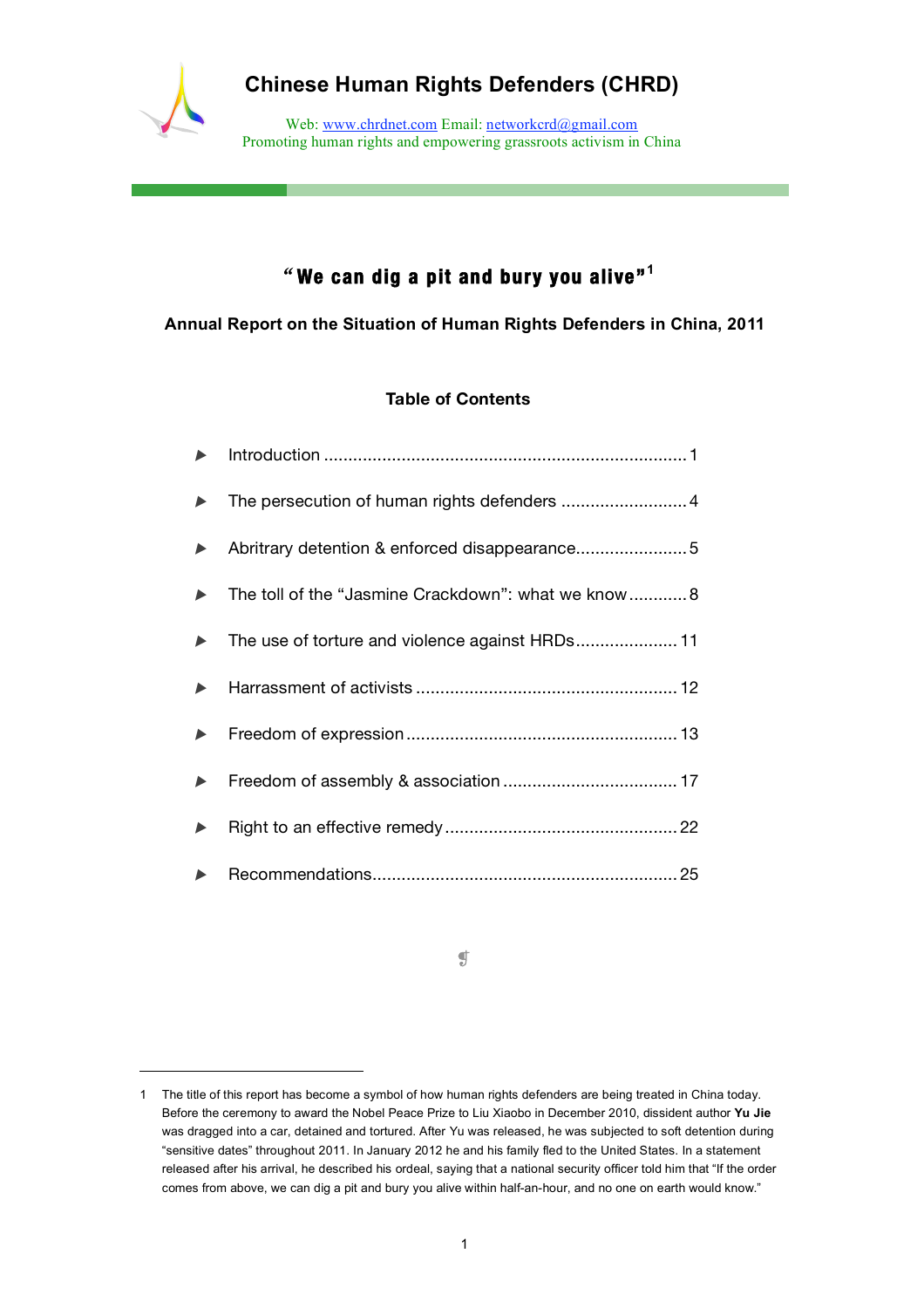

 $\overline{a}$ 

# **Chinese Human Rights Defenders (CHRD)**

Web: www.chrdnet.com Email: networkcrd@gmail.com Promoting human rights and empowering grassroots activism in China

# "**We can dig a pit and bury you alive"<sup>1</sup>**

**Annual Report on the Situation of Human Rights Defenders in China, 2011**

# **Table of Contents**

| $\blacktriangleright$ |                                                     |
|-----------------------|-----------------------------------------------------|
| $\blacktriangleright$ |                                                     |
| $\blacktriangleright$ | Abritrary detention & enforced disappearance5       |
|                       | The toll of the "Jasmine Crackdown": what we know 8 |
|                       | The use of torture and violence against HRDs 11     |
|                       |                                                     |
|                       |                                                     |
| $\blacktriangleright$ |                                                     |
| $\blacktriangleright$ |                                                     |
| $\blacktriangleright$ |                                                     |

❡

<sup>1</sup> The title of this report has become a symbol of how human rights defenders are being treated in China today. Before the ceremony to award the Nobel Peace Prize to Liu Xiaobo in December 2010, dissident author **Yu Jie** was dragged into a car, detained and tortured. After Yu was released, he was subjected to soft detention during "sensitive dates" throughout 2011. In January 2012 he and his family fled to the United States. In a statement released after his arrival, he described his ordeal, saying that a national security officer told him that "If the order comes from above, we can dig a pit and bury you alive within half-an-hour, and no one on earth would know."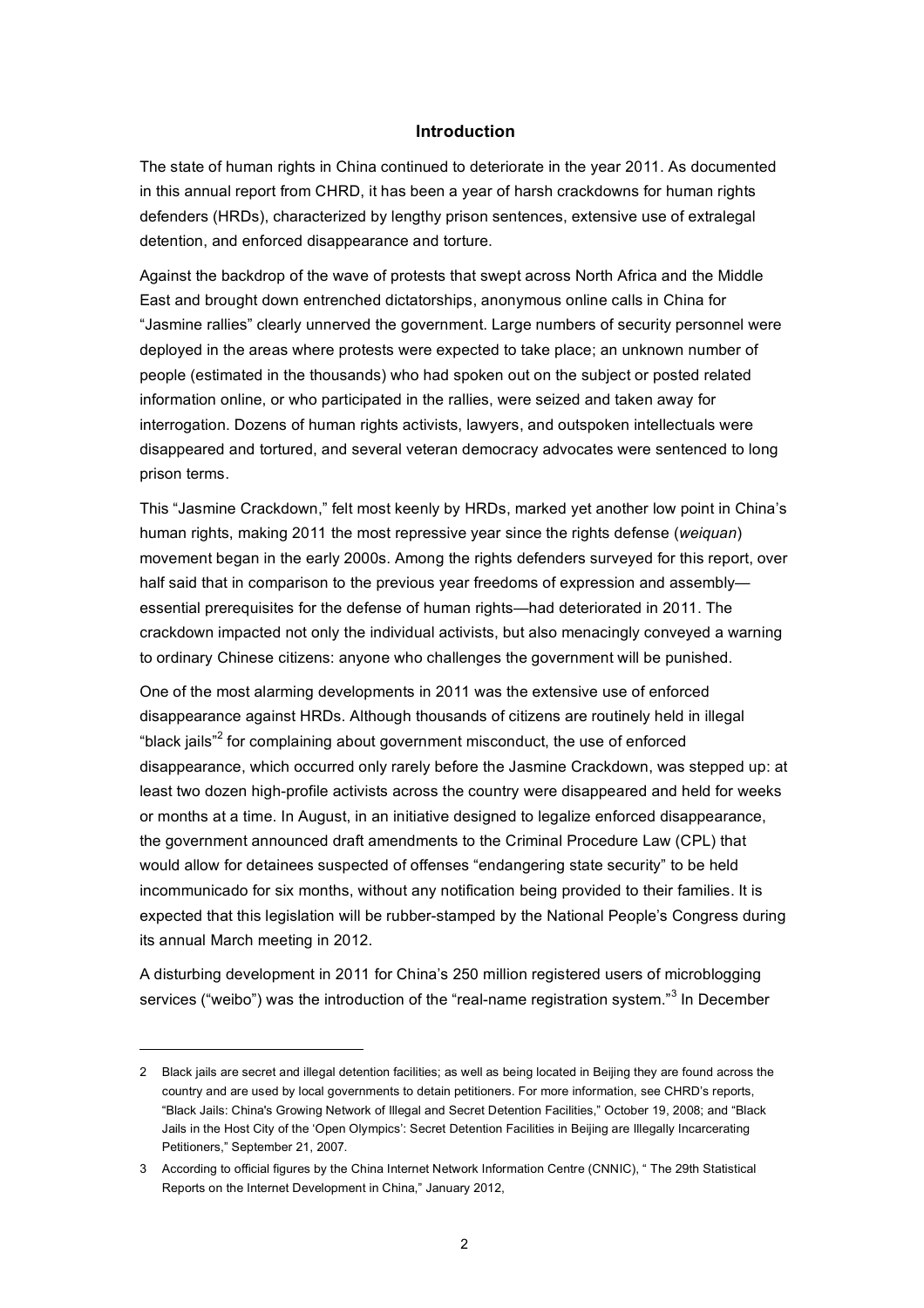## **Introduction**

The state of human rights in China continued to deteriorate in the year 2011. As documented in this annual report from CHRD, it has been a year of harsh crackdowns for human rights defenders (HRDs), characterized by lengthy prison sentences, extensive use of extralegal detention, and enforced disappearance and torture.

Against the backdrop of the wave of protests that swept across North Africa and the Middle East and brought down entrenched dictatorships, anonymous online calls in China for "Jasmine rallies" clearly unnerved the government. Large numbers of security personnel were deployed in the areas where protests were expected to take place; an unknown number of people (estimated in the thousands) who had spoken out on the subject or posted related information online, or who participated in the rallies, were seized and taken away for interrogation. Dozens of human rights activists, lawyers, and outspoken intellectuals were disappeared and tortured, and several veteran democracy advocates were sentenced to long prison terms.

This "Jasmine Crackdown," felt most keenly by HRDs, marked yet another low point in China's human rights, making 2011 the most repressive year since the rights defense (*weiquan*) movement began in the early 2000s. Among the rights defenders surveyed for this report, over half said that in comparison to the previous year freedoms of expression and assembly essential prerequisites for the defense of human rights—had deteriorated in 2011. The crackdown impacted not only the individual activists, but also menacingly conveyed a warning to ordinary Chinese citizens: anyone who challenges the government will be punished.

One of the most alarming developments in 2011 was the extensive use of enforced disappearance against HRDs. Although thousands of citizens are routinely held in illegal "black jails"<sup>2</sup> for complaining about government misconduct, the use of enforced disappearance, which occurred only rarely before the Jasmine Crackdown, was stepped up: at least two dozen high-profile activists across the country were disappeared and held for weeks or months at a time. In August, in an initiative designed to legalize enforced disappearance, the government announced draft amendments to the Criminal Procedure Law (CPL) that would allow for detainees suspected of offenses "endangering state security" to be held incommunicado for six months, without any notification being provided to their families. It is expected that this legislation will be rubber-stamped by the National People's Congress during its annual March meeting in 2012.

A disturbing development in 2011 for China's 250 million registered users of microblogging services ("weibo") was the introduction of the "real-name registration system."<sup>3</sup> In December

<sup>2</sup> Black jails are secret and illegal detention facilities; as well as being located in Beijing they are found across the country and are used by local governments to detain petitioners. For more information, see CHRD's reports, "Black Jails: China's Growing Network of Illegal and Secret Detention Facilities," October 19, 2008; and "Black Jails in the Host City of the 'Open Olympics': Secret Detention Facilities in Beijing are Illegally Incarcerating Petitioners," September 21, 2007.

<sup>3</sup> According to official figures by the China Internet Network Information Centre (CNNIC), " The 29th Statistical Reports on the Internet Development in China," January 2012,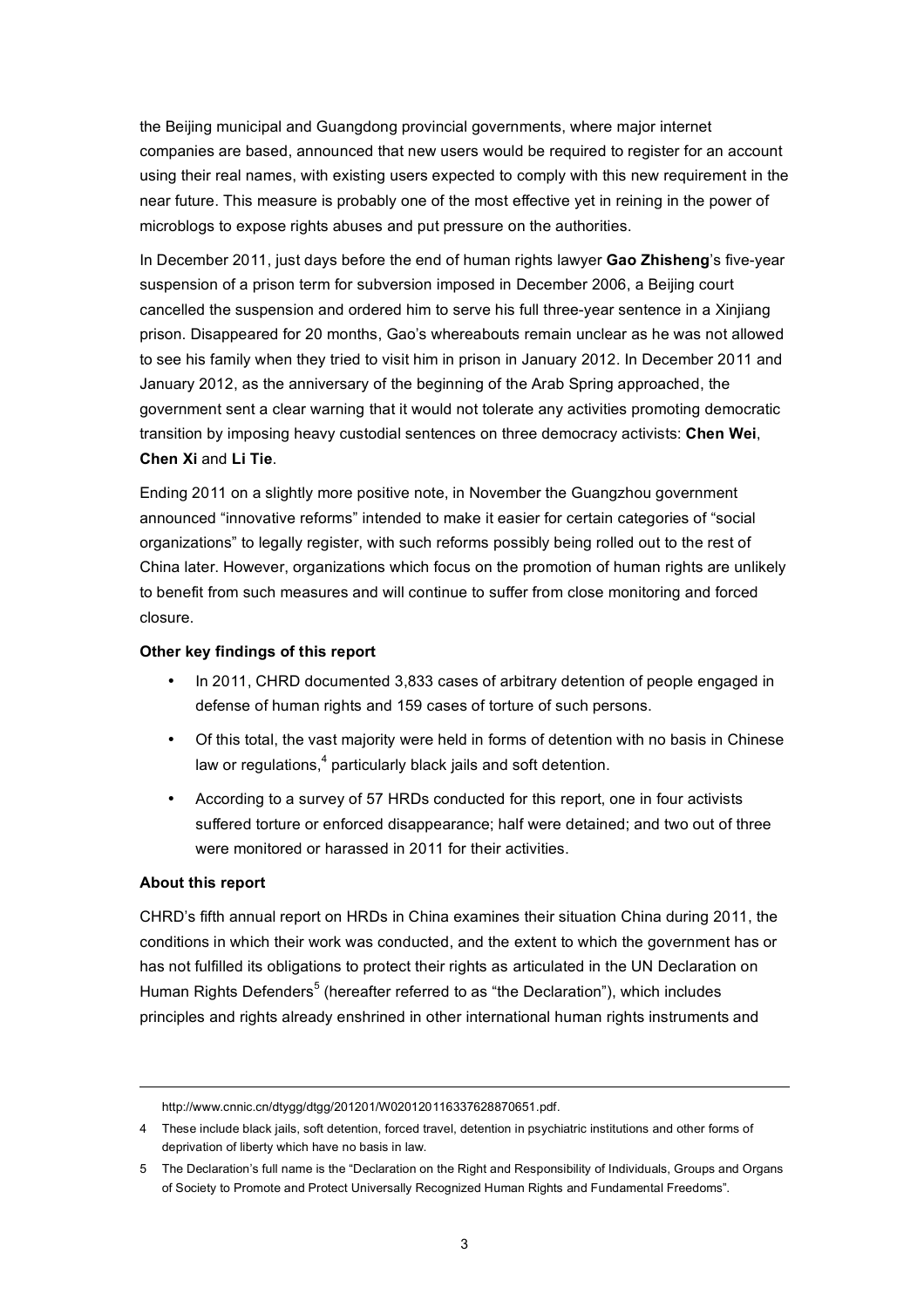the Beijing municipal and Guangdong provincial governments, where major internet companies are based, announced that new users would be required to register for an account using their real names, with existing users expected to comply with this new requirement in the near future. This measure is probably one of the most effective yet in reining in the power of microblogs to expose rights abuses and put pressure on the authorities.

In December 2011, just days before the end of human rights lawyer **Gao Zhisheng**'s five-year suspension of a prison term for subversion imposed in December 2006, a Beijing court cancelled the suspension and ordered him to serve his full three-year sentence in a Xinjiang prison. Disappeared for 20 months, Gao's whereabouts remain unclear as he was not allowed to see his family when they tried to visit him in prison in January 2012. In December 2011 and January 2012, as the anniversary of the beginning of the Arab Spring approached, the government sent a clear warning that it would not tolerate any activities promoting democratic transition by imposing heavy custodial sentences on three democracy activists: **Chen Wei**, **Chen Xi** and **Li Tie**.

Ending 2011 on a slightly more positive note, in November the Guangzhou government announced "innovative reforms" intended to make it easier for certain categories of "social organizations" to legally register, with such reforms possibly being rolled out to the rest of China later. However, organizations which focus on the promotion of human rights are unlikely to benefit from such measures and will continue to suffer from close monitoring and forced closure.

# **Other key findings of this report**

- In 2011, CHRD documented 3,833 cases of arbitrary detention of people engaged in defense of human rights and 159 cases of torture of such persons.
- Of this total, the vast majority were held in forms of detention with no basis in Chinese law or regulations,<sup>4</sup> particularly black jails and soft detention.
- According to a survey of 57 HRDs conducted for this report, one in four activists suffered torture or enforced disappearance; half were detained; and two out of three were monitored or harassed in 2011 for their activities.

# **About this report**

CHRD's fifth annual report on HRDs in China examines their situation China during 2011, the conditions in which their work was conducted, and the extent to which the government has or has not fulfilled its obligations to protect their rights as articulated in the UN Declaration on Human Rights Defenders<sup>5</sup> (hereafter referred to as "the Declaration"), which includes principles and rights already enshrined in other international human rights instruments and

http://www.cnnic.cn/dtygg/dtgg/201201/W020120116337628870651.pdf.

<sup>4</sup> These include black jails, soft detention, forced travel, detention in psychiatric institutions and other forms of deprivation of liberty which have no basis in law.

<sup>5</sup> The Declaration's full name is the "Declaration on the Right and Responsibility of Individuals, Groups and Organs of Society to Promote and Protect Universally Recognized Human Rights and Fundamental Freedoms".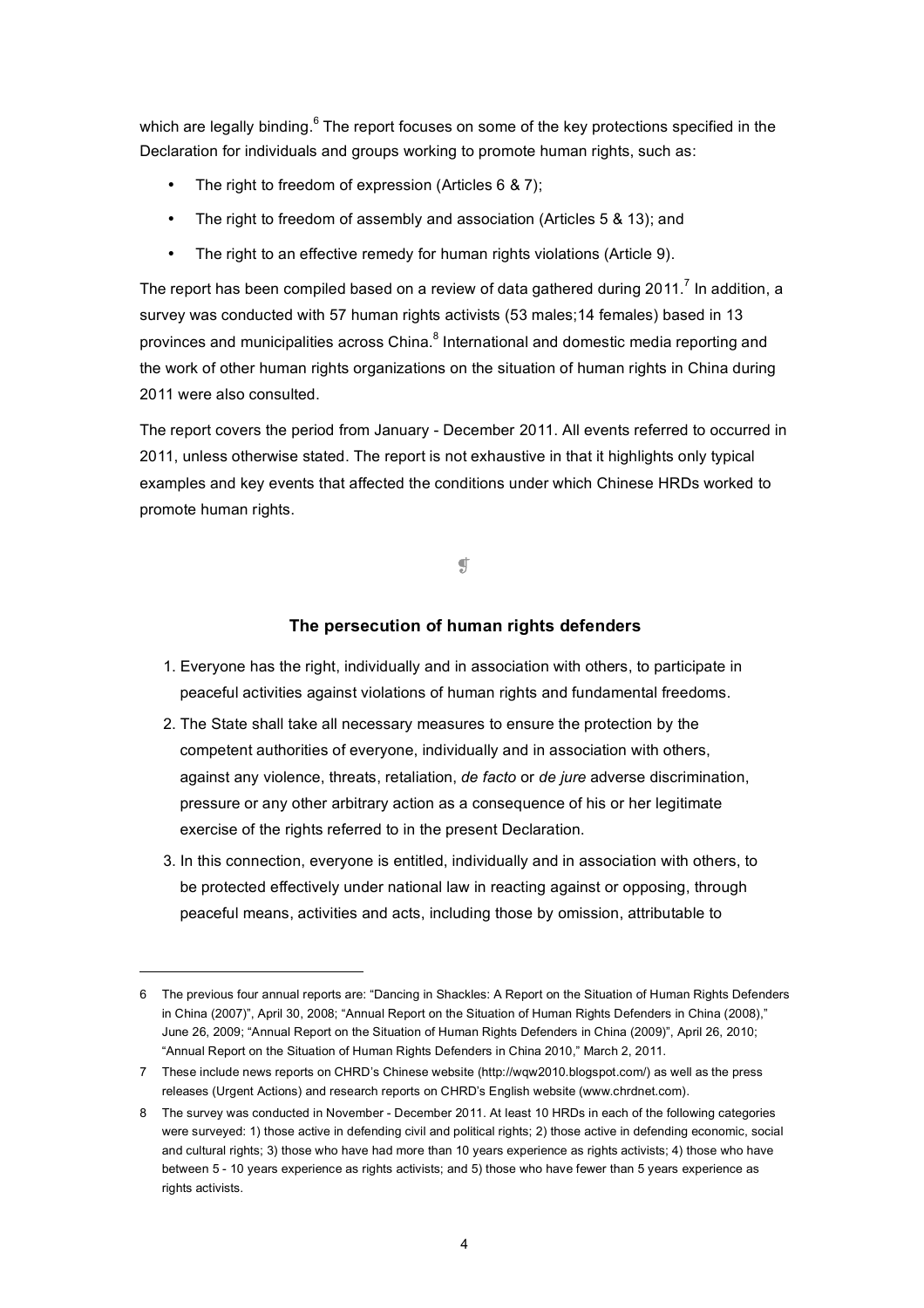which are legally binding.<sup>6</sup> The report focuses on some of the key protections specified in the Declaration for individuals and groups working to promote human rights, such as:

- The right to freedom of expression (Articles 6 & 7);
- The right to freedom of assembly and association (Articles 5 & 13); and
- The right to an effective remedy for human rights violations (Article 9).

The report has been compiled based on a review of data gathered during 2011.<sup>7</sup> In addition, a survey was conducted with 57 human rights activists (53 males;14 females) based in 13 provinces and municipalities across China.<sup>8</sup> International and domestic media reporting and the work of other human rights organizations on the situation of human rights in China during 2011 were also consulted.

The report covers the period from January - December 2011. All events referred to occurred in 2011, unless otherwise stated. The report is not exhaustive in that it highlights only typical examples and key events that affected the conditions under which Chinese HRDs worked to promote human rights.

 $\mathfrak g$ 

# **The persecution of human rights defenders**

- 1. Everyone has the right, individually and in association with others, to participate in peaceful activities against violations of human rights and fundamental freedoms.
- 2. The State shall take all necessary measures to ensure the protection by the competent authorities of everyone, individually and in association with others, against any violence, threats, retaliation, *de facto* or *de jure* adverse discrimination, pressure or any other arbitrary action as a consequence of his or her legitimate exercise of the rights referred to in the present Declaration.
- 3. In this connection, everyone is entitled, individually and in association with others, to be protected effectively under national law in reacting against or opposing, through peaceful means, activities and acts, including those by omission, attributable to

<sup>6</sup> The previous four annual reports are: "Dancing in Shackles: A Report on the Situation of Human Rights Defenders in China (2007)", April 30, 2008; "Annual Report on the Situation of Human Rights Defenders in China (2008)," June 26, 2009; "Annual Report on the Situation of Human Rights Defenders in China (2009)", April 26, 2010; "Annual Report on the Situation of Human Rights Defenders in China 2010," March 2, 2011.

<sup>7</sup> These include news reports on CHRD's Chinese website (http://wqw2010.blogspot.com/) as well as the press releases (Urgent Actions) and research reports on CHRD's English website (www.chrdnet.com).

<sup>8</sup> The survey was conducted in November - December 2011. At least 10 HRDs in each of the following categories were surveyed: 1) those active in defending civil and political rights; 2) those active in defending economic, social and cultural rights; 3) those who have had more than 10 years experience as rights activists; 4) those who have between 5 - 10 years experience as rights activists; and 5) those who have fewer than 5 years experience as rights activists.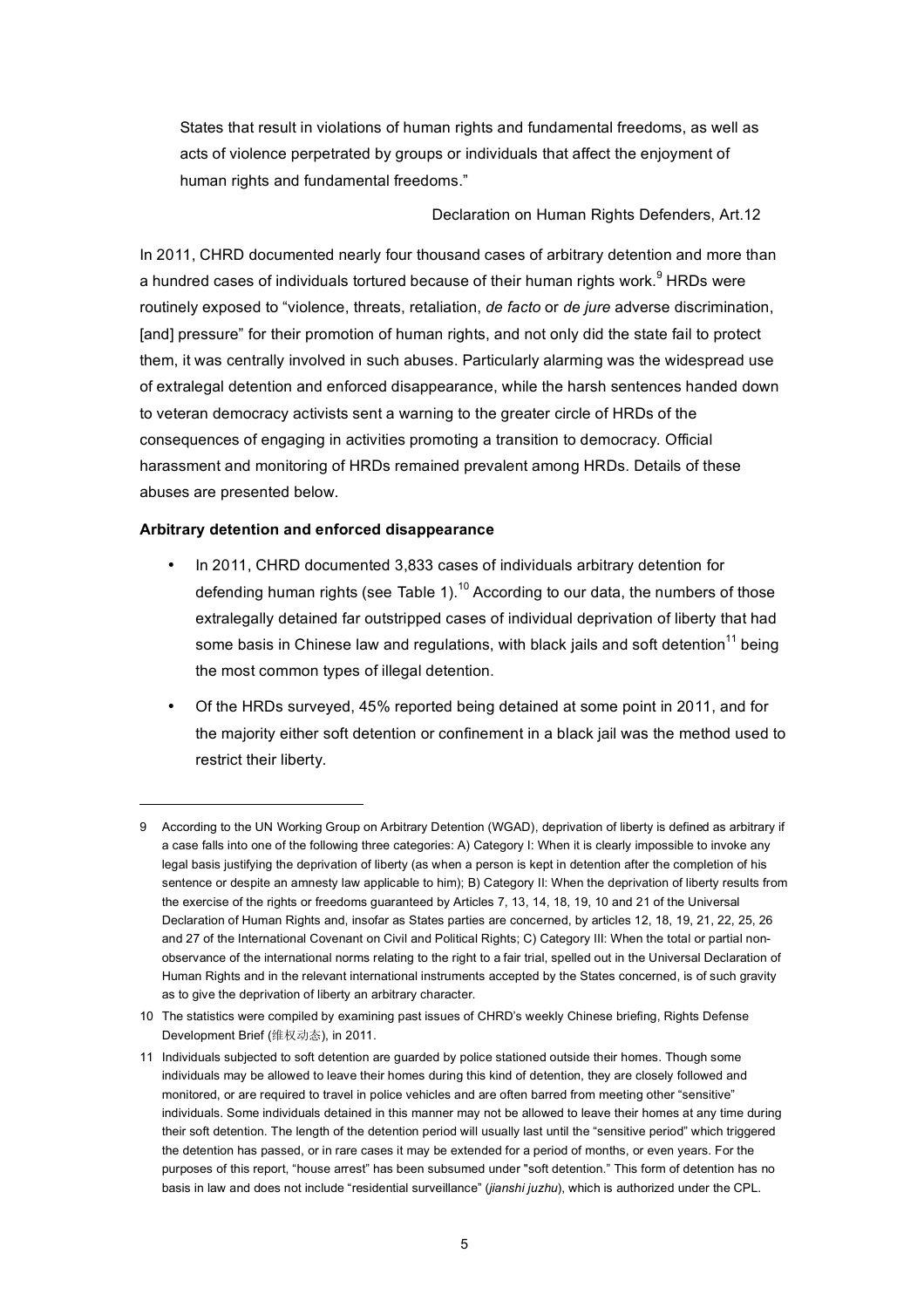States that result in violations of human rights and fundamental freedoms, as well as acts of violence perpetrated by groups or individuals that affect the enjoyment of human rights and fundamental freedoms."

Declaration on Human Rights Defenders, Art.12

In 2011, CHRD documented nearly four thousand cases of arbitrary detention and more than a hundred cases of individuals tortured because of their human rights work.<sup>9</sup> HRDs were routinely exposed to "violence, threats, retaliation, *de facto* or *de jure* adverse discrimination, [and] pressure" for their promotion of human rights, and not only did the state fail to protect them, it was centrally involved in such abuses. Particularly alarming was the widespread use of extralegal detention and enforced disappearance, while the harsh sentences handed down to veteran democracy activists sent a warning to the greater circle of HRDs of the consequences of engaging in activities promoting a transition to democracy. Official harassment and monitoring of HRDs remained prevalent among HRDs. Details of these abuses are presented below.

## **Arbitrary detention and enforced disappearance**

- In 2011, CHRD documented 3,833 cases of individuals arbitrary detention for defending human rights (see Table 1).<sup>10</sup> According to our data, the numbers of those extralegally detained far outstripped cases of individual deprivation of liberty that had some basis in Chinese law and regulations, with black jails and soft detention<sup>11</sup> being the most common types of illegal detention.
- Of the HRDs surveyed, 45% reported being detained at some point in 2011, and for the majority either soft detention or confinement in a black jail was the method used to restrict their liberty.

<sup>9</sup> According to the UN Working Group on Arbitrary Detention (WGAD), deprivation of liberty is defined as arbitrary if a case falls into one of the following three categories: A) Category I: When it is clearly impossible to invoke any legal basis justifying the deprivation of liberty (as when a person is kept in detention after the completion of his sentence or despite an amnesty law applicable to him); B) Category II: When the deprivation of liberty results from the exercise of the rights or freedoms guaranteed by Articles 7, 13, 14, 18, 19, 10 and 21 of the Universal Declaration of Human Rights and, insofar as States parties are concerned, by articles 12, 18, 19, 21, 22, 25, 26 and 27 of the International Covenant on Civil and Political Rights; C) Category III: When the total or partial nonobservance of the international norms relating to the right to a fair trial, spelled out in the Universal Declaration of Human Rights and in the relevant international instruments accepted by the States concerned, is of such gravity as to give the deprivation of liberty an arbitrary character.

<sup>10</sup> The statistics were compiled by examining past issues of CHRD's weekly Chinese briefing, Rights Defense Development Brief (维权动态), in 2011.

<sup>11</sup> Individuals subjected to soft detention are guarded by police stationed outside their homes. Though some individuals may be allowed to leave their homes during this kind of detention, they are closely followed and monitored, or are required to travel in police vehicles and are often barred from meeting other "sensitive" individuals. Some individuals detained in this manner may not be allowed to leave their homes at any time during their soft detention. The length of the detention period will usually last until the "sensitive period" which triggered the detention has passed, or in rare cases it may be extended for a period of months, or even years. For the purposes of this report, "house arrest" has been subsumed under "soft detention." This form of detention has no basis in law and does not include "residential surveillance" (*jianshi juzhu*), which is authorized under the CPL.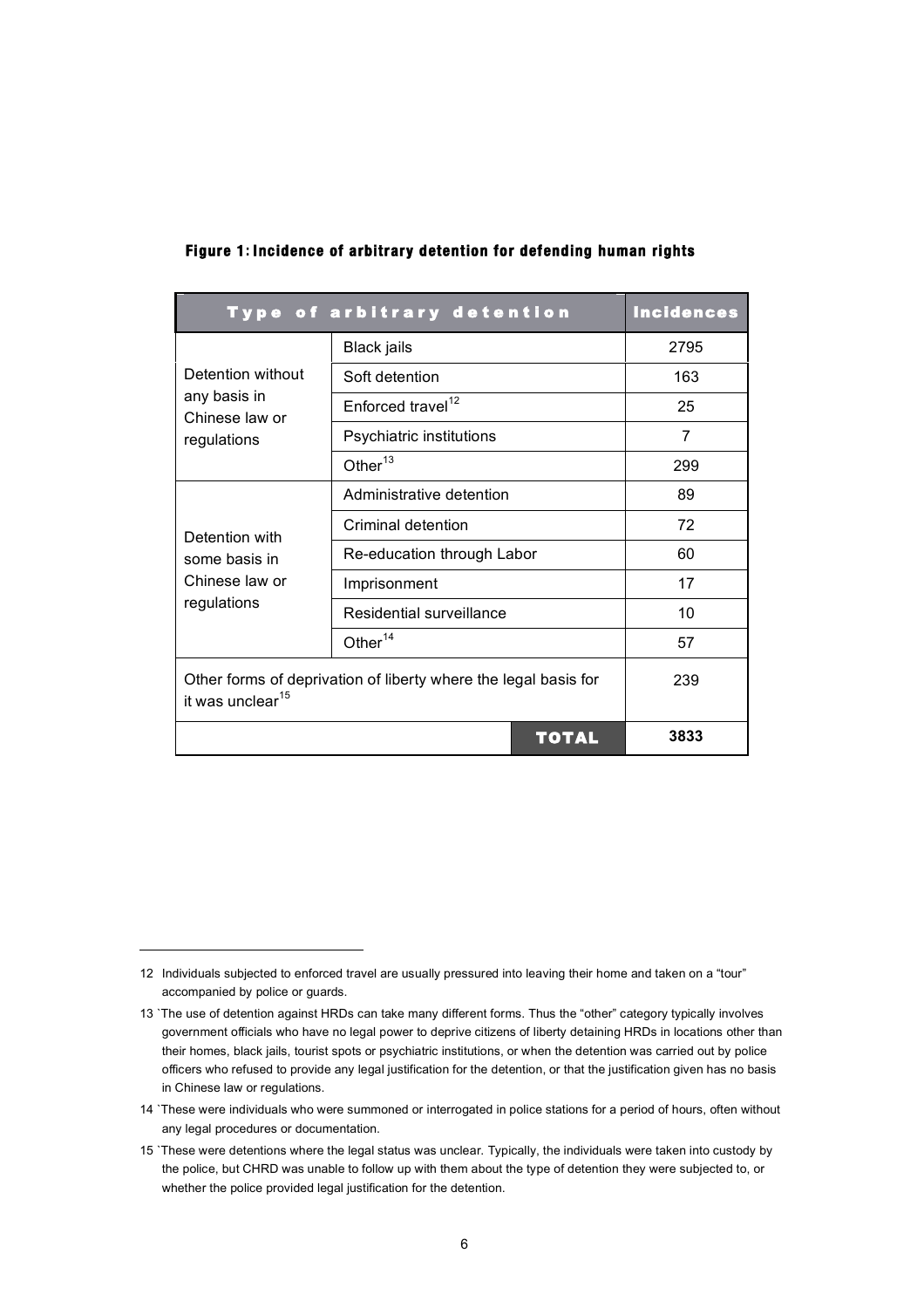| Type of arbitrary detention                                                                     | <b>Incidences</b>             |      |
|-------------------------------------------------------------------------------------------------|-------------------------------|------|
|                                                                                                 | <b>Black jails</b>            | 2795 |
| Detention without                                                                               | Soft detention                | 163  |
| any basis in<br>Chinese law or                                                                  | Enforced travel <sup>12</sup> | 25   |
| regulations                                                                                     | Psychiatric institutions      | 7    |
|                                                                                                 | Other $^{13}$                 | 299  |
|                                                                                                 | Administrative detention      | 89   |
| Detention with                                                                                  | Criminal detention            | 72   |
| some basis in                                                                                   | Re-education through Labor    | 60   |
| Chinese law or                                                                                  | Imprisonment                  | 17   |
| regulations                                                                                     | Residential surveillance      | 10   |
|                                                                                                 | Other <sup>14</sup>           | 57   |
| Other forms of deprivation of liberty where the legal basis for<br>it was unclear <sup>15</sup> | 239                           |      |
|                                                                                                 | <b>TOTAL</b>                  | 3833 |

## **Figure 1: Incidence of arbitrary detention for defending human rights**

<sup>12</sup> Individuals subjected to enforced travel are usually pressured into leaving their home and taken on a "tour" accompanied by police or guards.

<sup>13</sup> `The use of detention against HRDs can take many different forms. Thus the "other" category typically involves government officials who have no legal power to deprive citizens of liberty detaining HRDs in locations other than their homes, black jails, tourist spots or psychiatric institutions, or when the detention was carried out by police officers who refused to provide any legal justification for the detention, or that the justification given has no basis in Chinese law or regulations.

<sup>14</sup> `These were individuals who were summoned or interrogated in police stations for a period of hours, often without any legal procedures or documentation.

<sup>15</sup> `These were detentions where the legal status was unclear. Typically, the individuals were taken into custody by the police, but CHRD was unable to follow up with them about the type of detention they were subjected to, or whether the police provided legal justification for the detention.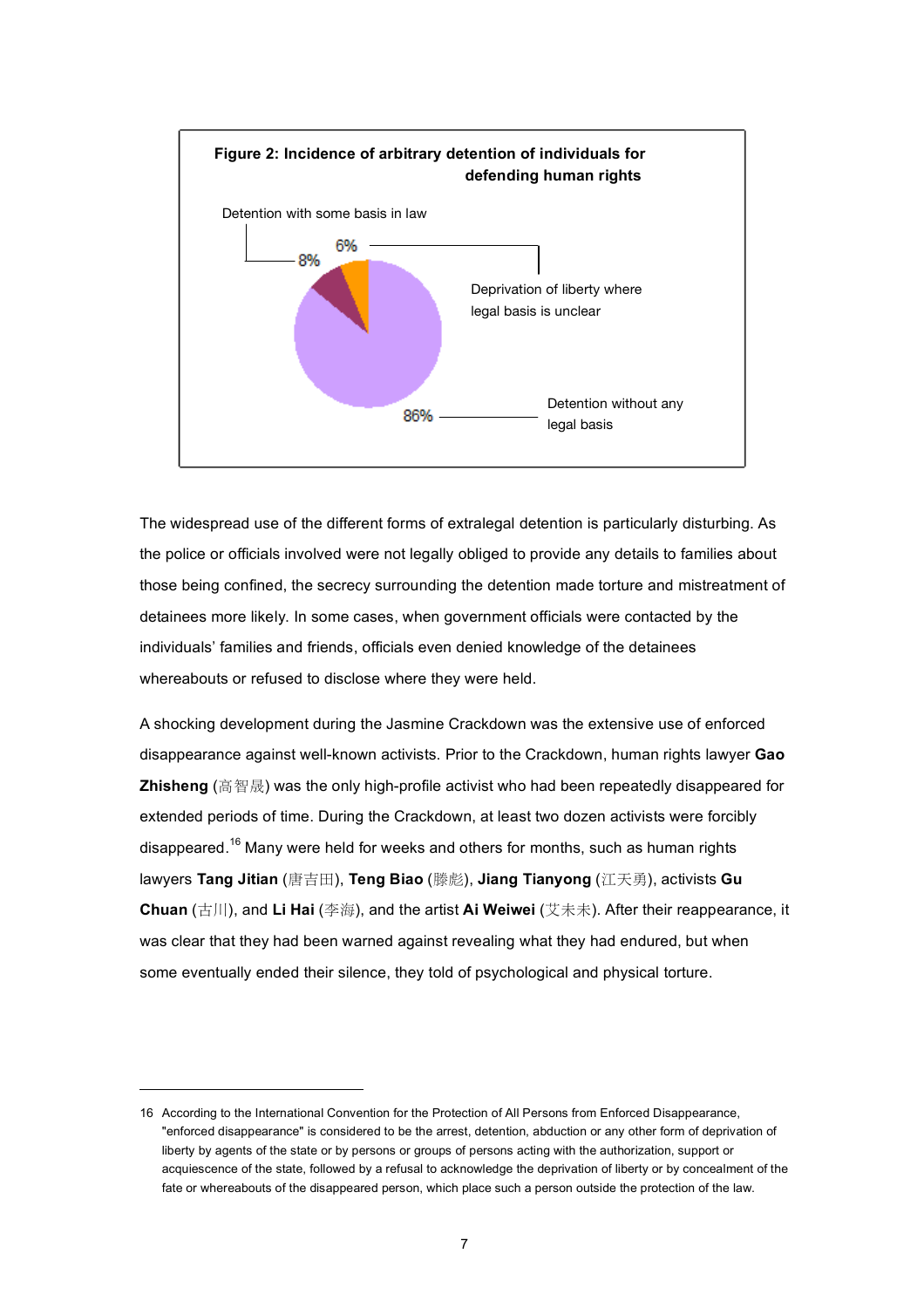

The widespread use of the different forms of extralegal detention is particularly disturbing. As the police or officials involved were not legally obliged to provide any details to families about those being confined, the secrecy surrounding the detention made torture and mistreatment of detainees more likely. In some cases, when government officials were contacted by the individuals' families and friends, officials even denied knowledge of the detainees whereabouts or refused to disclose where they were held.

A shocking development during the Jasmine Crackdown was the extensive use of enforced disappearance against well-known activists. Prior to the Crackdown, human rights lawyer **Gao Zhisheng** (高智晟) was the only high-profile activist who had been repeatedly disappeared for extended periods of time. During the Crackdown, at least two dozen activists were forcibly disappeared.<sup>16</sup> Many were held for weeks and others for months, such as human rights lawyers **Tang Jitian** (唐吉田), **Teng Biao** (滕彪), **Jiang Tianyong** (江天勇), activists **Gu Chuan** (古川), and **Li Hai** (李海), and the artist **Ai Weiwei** (艾未未). After their reappearance, it was clear that they had been warned against revealing what they had endured, but when some eventually ended their silence, they told of psychological and physical torture.

<sup>16</sup> According to the International Convention for the Protection of All Persons from Enforced Disappearance, "enforced disappearance" is considered to be the arrest, detention, abduction or any other form of deprivation of liberty by agents of the state or by persons or groups of persons acting with the authorization, support or acquiescence of the state, followed by a refusal to acknowledge the deprivation of liberty or by concealment of the fate or whereabouts of the disappeared person, which place such a person outside the protection of the law.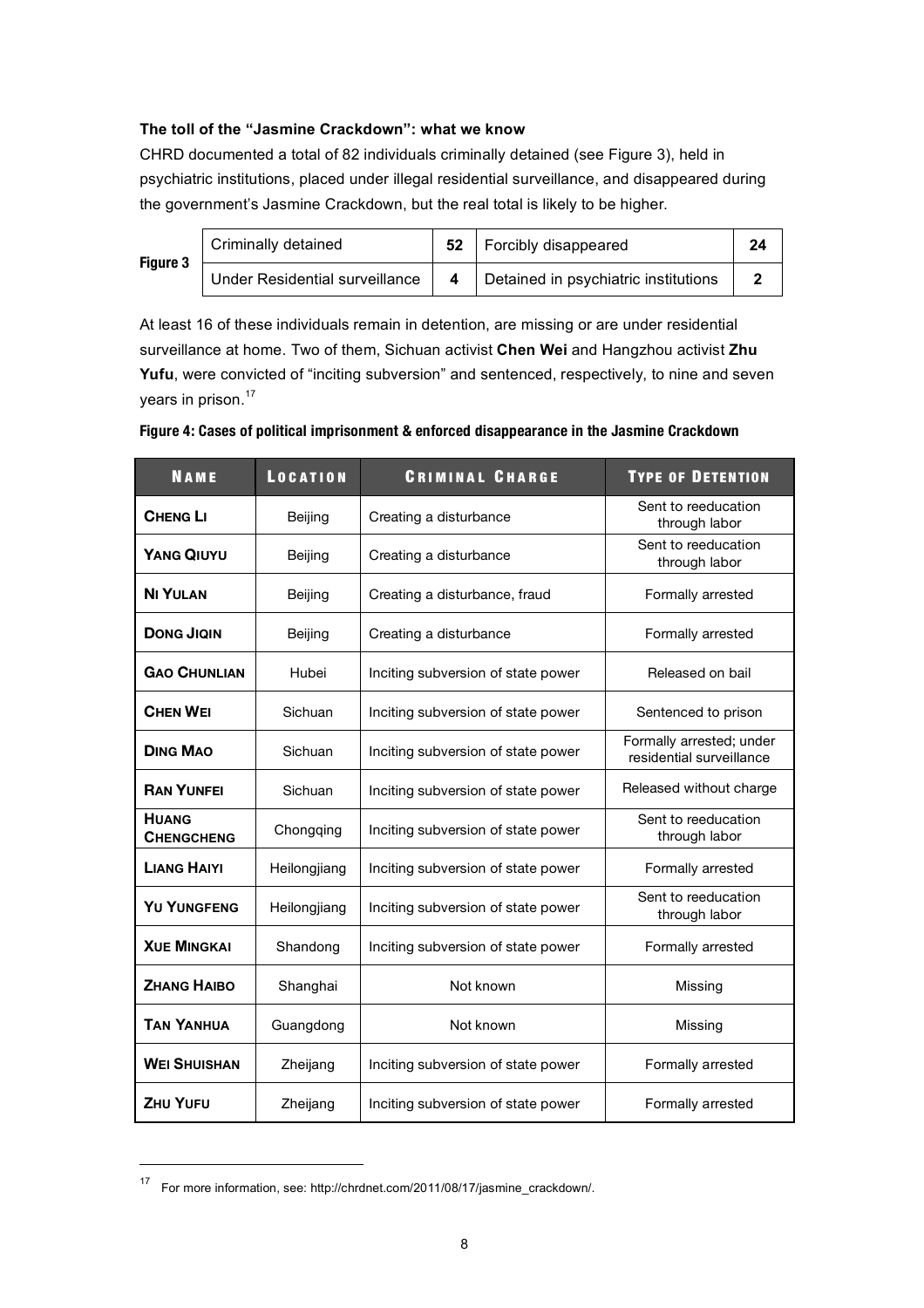# **The toll of the "Jasmine Crackdown": what we know**

CHRD documented a total of 82 individuals criminally detained (see Figure 3), held in psychiatric institutions, placed under illegal residential surveillance, and disappeared during the government's Jasmine Crackdown, but the real total is likely to be higher.

**Figure** 

| Criminally detained                   |  | Forcibly disappeared                 | 24 |
|---------------------------------------|--|--------------------------------------|----|
| <b>Under Residential surveillance</b> |  | Detained in psychiatric institutions |    |

At least 16 of these individuals remain in detention, are missing or are under residential surveillance at home. Two of them, Sichuan activist **Chen Wei** and Hangzhou activist **Zhu**  Yufu, were convicted of "inciting subversion" and sentenced, respectively, to nine and seven years in prison.<sup>17</sup>

| <b>NAME</b>                                                              | <b>LOCATION</b> | <b>CRIMINAL CHARGE</b>             | <b>TYPE OF DETENTION</b>                             |
|--------------------------------------------------------------------------|-----------------|------------------------------------|------------------------------------------------------|
| <b>CHENG LI</b>                                                          | Beijing         | Creating a disturbance             | Sent to reeducation<br>through labor                 |
| <b>YANG QIUYU</b>                                                        | Beijing         | Creating a disturbance             | Sent to reeducation<br>through labor                 |
| <b>NI YULAN</b>                                                          | Beijing         | Creating a disturbance, fraud      | Formally arrested                                    |
| <b>DONG JIQIN</b>                                                        | Beijing         | Creating a disturbance             | Formally arrested                                    |
| <b>GAO CHUNLIAN</b>                                                      | Hubei           | Inciting subversion of state power | Released on bail                                     |
| <b>CHEN WEI</b>                                                          | Sichuan         | Inciting subversion of state power | Sentenced to prison                                  |
| <b>DING MAO</b>                                                          | Sichuan         | Inciting subversion of state power | Formally arrested; under<br>residential surveillance |
| <b>RAN YUNFEI</b>                                                        | Sichuan         | Inciting subversion of state power | Released without charge                              |
| <b>HUANG</b><br><b>CHENGCHENG</b>                                        | Chongqing       | Inciting subversion of state power | Sent to reeducation<br>through labor                 |
| <b>LIANG HAIYI</b><br>Heilongjiang<br>Inciting subversion of state power |                 | Formally arrested                  |                                                      |
| <b>YU YUNGFENG</b><br>Heilongjiang                                       |                 | Inciting subversion of state power | Sent to reeducation<br>through labor                 |
| <b>XUE MINGKAI</b>                                                       | Shandong        | Inciting subversion of state power | Formally arrested                                    |
| <b>ZHANG HAIBO</b>                                                       | Shanghai        | Not known                          | Missing                                              |
| <b>TAN YANHUA</b>                                                        | Guangdong       | Not known                          | Missing                                              |
| <b>WEI SHUISHAN</b>                                                      | Zheijang        | Inciting subversion of state power | Formally arrested                                    |
| <b>ZHU YUFU</b>                                                          | Zheijang        | Inciting subversion of state power | Formally arrested                                    |

## **Figure 4: Cases of political imprisonment & enforced disappearance in the Jasmine Crackdown**

 <sup>17</sup> For more information, see: http://chrdnet.com/2011/08/17/jasmine\_crackdown/.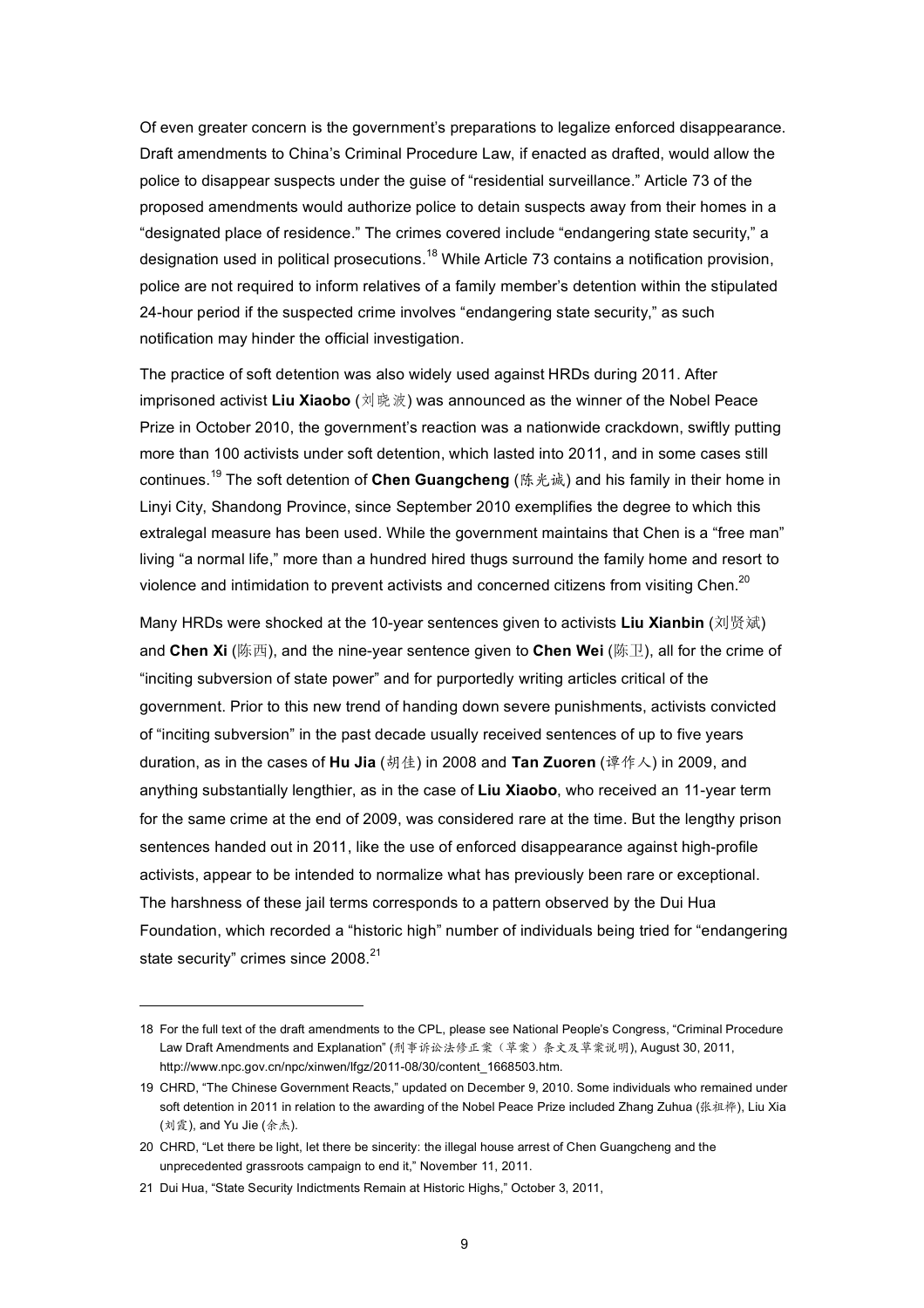Of even greater concern is the government's preparations to legalize enforced disappearance. Draft amendments to China's Criminal Procedure Law, if enacted as drafted, would allow the police to disappear suspects under the guise of "residential surveillance." Article 73 of the proposed amendments would authorize police to detain suspects away from their homes in a "designated place of residence." The crimes covered include "endangering state security," a designation used in political prosecutions.<sup>18</sup> While Article 73 contains a notification provision, police are not required to inform relatives of a family member's detention within the stipulated 24-hour period if the suspected crime involves "endangering state security," as such notification may hinder the official investigation.

The practice of soft detention was also widely used against HRDs during 2011. After imprisoned activist **Liu Xiaobo** (刘晓波) was announced as the winner of the Nobel Peace Prize in October 2010, the government's reaction was a nationwide crackdown, swiftly putting more than 100 activists under soft detention, which lasted into 2011, and in some cases still continues.<sup>19</sup> The soft detention of **Chen Guangcheng** (陈光诚) and his family in their home in Linyi City, Shandong Province, since September 2010 exemplifies the degree to which this extralegal measure has been used. While the government maintains that Chen is a "free man" living "a normal life," more than a hundred hired thugs surround the family home and resort to violence and intimidation to prevent activists and concerned citizens from visiting Chen.<sup>20</sup>

Many HRDs were shocked at the 10-year sentences given to activists **Liu Xianbin** (刘贤斌) and **Chen Xi** (陈西), and the nine-year sentence given to **Chen Wei** (陈卫), all for the crime of "inciting subversion of state power" and for purportedly writing articles critical of the government. Prior to this new trend of handing down severe punishments, activists convicted of "inciting subversion" in the past decade usually received sentences of up to five years duration, as in the cases of **Hu Jia** (胡佳) in 2008 and **Tan Zuoren** (谭作人) in 2009, and anything substantially lengthier, as in the case of **Liu Xiaobo**, who received an 11-year term for the same crime at the end of 2009, was considered rare at the time. But the lengthy prison sentences handed out in 2011, like the use of enforced disappearance against high-profile activists, appear to be intended to normalize what has previously been rare or exceptional. The harshness of these jail terms corresponds to a pattern observed by the Dui Hua Foundation, which recorded a "historic high" number of individuals being tried for "endangering state security" crimes since 2008.<sup>21</sup>

<sup>18</sup> For the full text of the draft amendments to the CPL, please see National People's Congress, "Criminal Procedure Law Draft Amendments and Explanation" (刑事诉讼法修正案(草案)条文及草案说明), August 30, 2011, http://www.npc.gov.cn/npc/xinwen/lfgz/2011-08/30/content\_1668503.htm.

<sup>19</sup> CHRD, "The Chinese Government Reacts," updated on December 9, 2010. Some individuals who remained under soft detention in 2011 in relation to the awarding of the Nobel Peace Prize included Zhang Zuhua (张祖桦), Liu Xia (刘霞), and Yu Jie (余杰).

<sup>20</sup> CHRD, "Let there be light, let there be sincerity: the illegal house arrest of Chen Guangcheng and the unprecedented grassroots campaign to end it," November 11, 2011.

<sup>21</sup> Dui Hua, "State Security Indictments Remain at Historic Highs," October 3, 2011,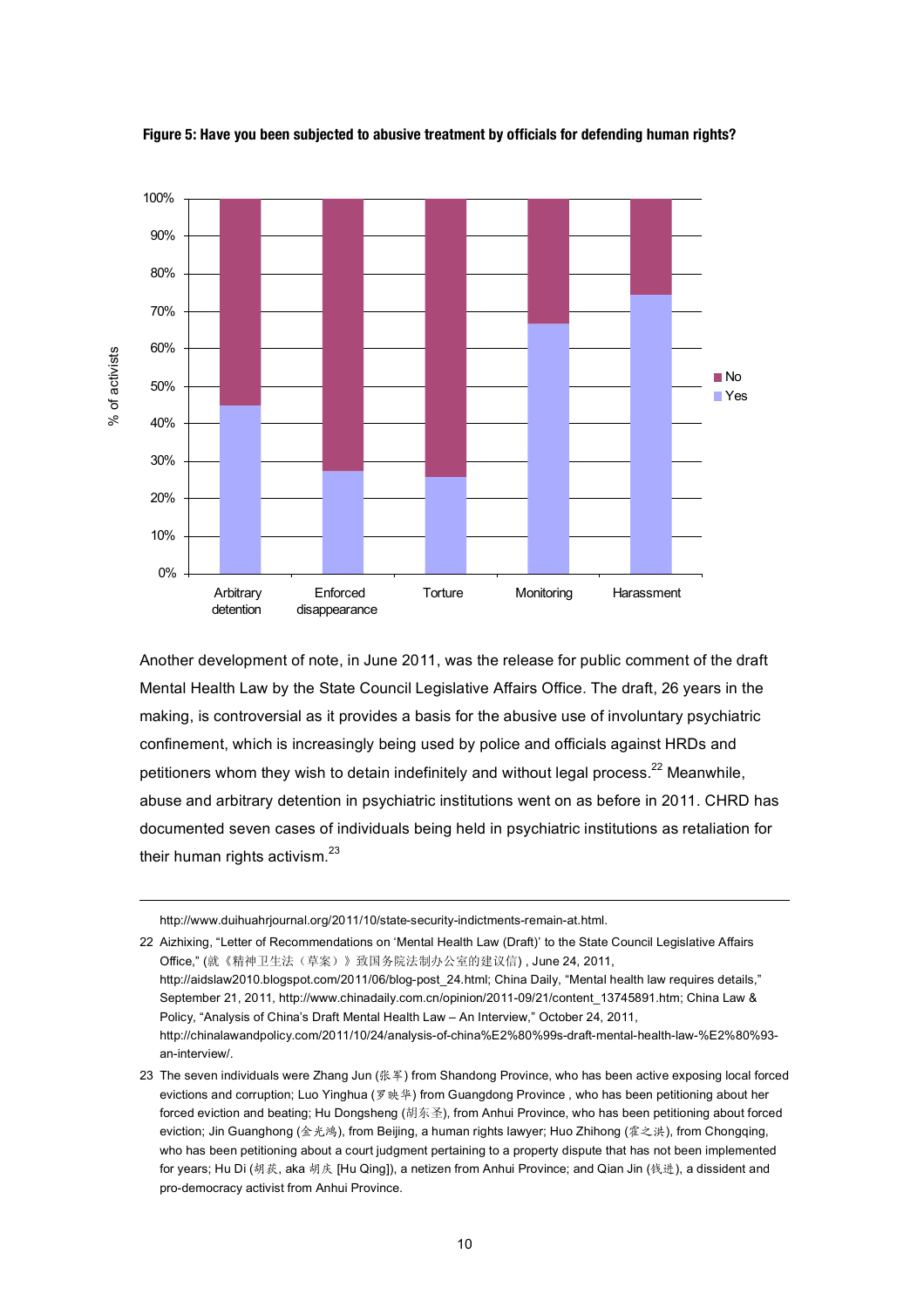

**Figure 5: Have you been subjected to abusive treatment by officials for defending human rights?** 

Another development of note, in June 2011, was the release for public comment of the draft Mental Health Law by the State Council Legislative Affairs Office. The draft, 26 years in the making, is controversial as it provides a basis for the abusive use of involuntary psychiatric confinement, which is increasingly being used by police and officials against HRDs and petitioners whom they wish to detain indefinitely and without legal process.<sup>22</sup> Meanwhile, abuse and arbitrary detention in psychiatric institutions went on as before in 2011. CHRD has documented seven cases of individuals being held in psychiatric institutions as retaliation for their human rights activism.<sup>23</sup>

http://www.duihuahrjournal.org/2011/10/state-security-indictments-remain-at.html.

22 Aizhixing, "Letter of Recommendations on 'Mental Health Law (Draft)' to the State Council Legislative Affairs Office," (就《精神卫生法(草案)》致国务院法制办公室的建议信) , June 24, 2011, http://aidslaw2010.blogspot.com/2011/06/blog-post\_24.html; China Daily, "Mental health law requires details," September 21, 2011, http://www.chinadaily.com.cn/opinion/2011-09/21/content\_13745891.htm; China Law & Policy, "Analysis of China's Draft Mental Health Law – An Interview," October 24, 2011, http://chinalawandpolicy.com/2011/10/24/analysis-of-china%E2%80%99s-draft-mental-health-law-%E2%80%93 an-interview/.

23 The seven individuals were Zhang Jun (张军) from Shandong Province, who has been active exposing local forced evictions and corruption; Luo Yinghua (罗映华) from Guangdong Province , who has been petitioning about her forced eviction and beating; Hu Dongsheng (胡东圣), from Anhui Province, who has been petitioning about forced eviction; Jin Guanghong (金光鸿), from Beijing, a human rights lawyer; Huo Zhihong (霍之洪), from Chongqing, who has been petitioning about a court judgment pertaining to a property dispute that has not been implemented for years; Hu Di (胡荻, aka 胡庆 [Hu Qing]), a netizen from Anhui Province; and Qian Jin (钱进), a dissident and pro-democracy activist from Anhui Province.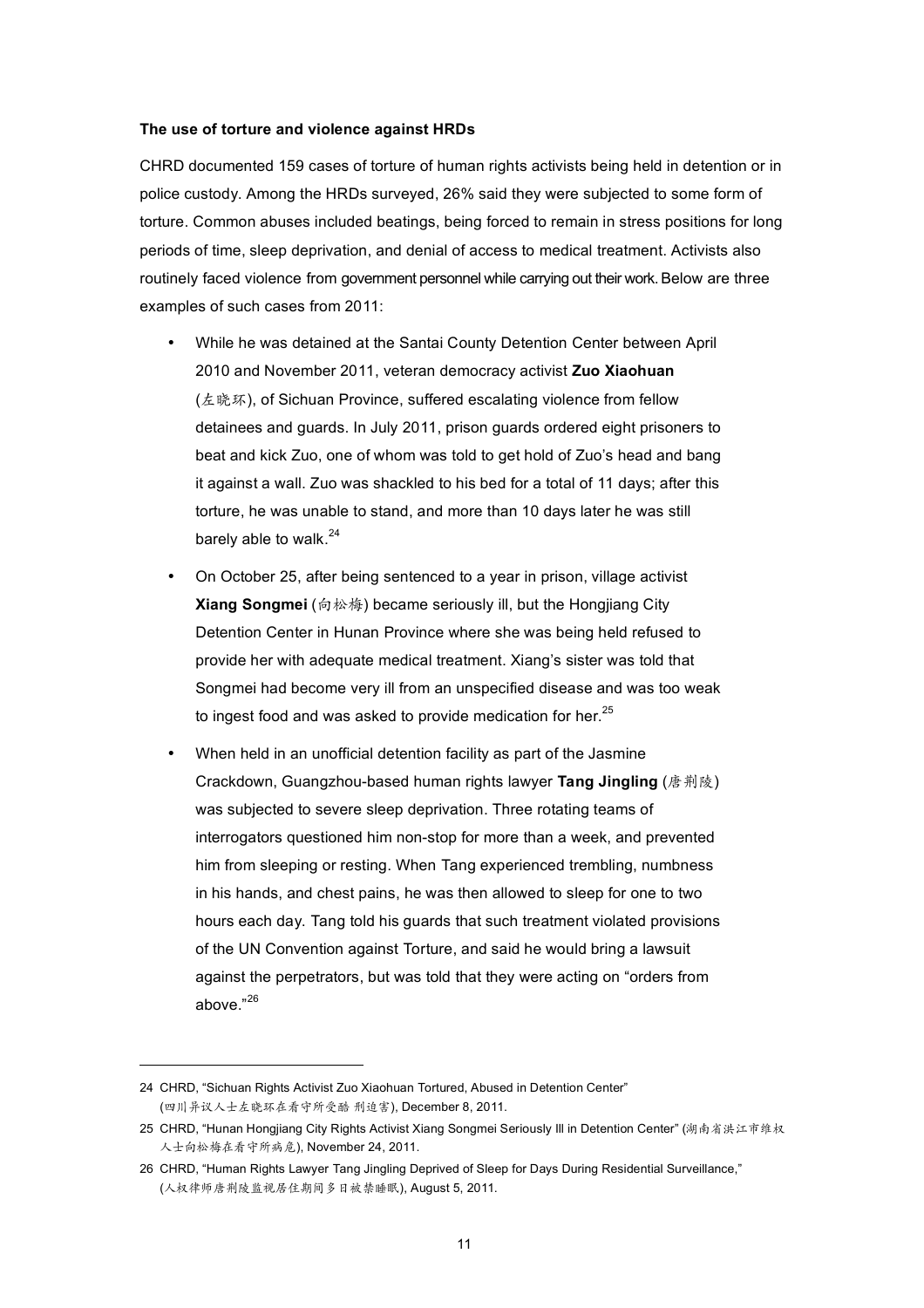## **The use of torture and violence against HRDs**

CHRD documented 159 cases of torture of human rights activists being held in detention or in police custody. Among the HRDs surveyed, 26% said they were subjected to some form of torture. Common abuses included beatings, being forced to remain in stress positions for long periods of time, sleep deprivation, and denial of access to medical treatment. Activists also routinely faced violence from government personnel while carrying out their work. Below are three examples of such cases from 2011:

- While he was detained at the Santai County Detention Center between April 2010 and November 2011, veteran democracy activist **Zuo Xiaohuan** (左晓环), of Sichuan Province, suffered escalating violence from fellow detainees and guards. In July 2011, prison guards ordered eight prisoners to beat and kick Zuo, one of whom was told to get hold of Zuo's head and bang it against a wall. Zuo was shackled to his bed for a total of 11 days; after this torture, he was unable to stand, and more than 10 days later he was still barely able to walk. $^{24}$
- On October 25, after being sentenced to a year in prison, village activist **Xiang Songmei** (向松梅) became seriously ill, but the Hongjiang City Detention Center in Hunan Province where she was being held refused to provide her with adequate medical treatment. Xiang's sister was told that Songmei had become very ill from an unspecified disease and was too weak to ingest food and was asked to provide medication for her.<sup>25</sup>
- When held in an unofficial detention facility as part of the Jasmine Crackdown, Guangzhou-based human rights lawyer **Tang Jingling** (唐荆陵) was subjected to severe sleep deprivation. Three rotating teams of interrogators questioned him non-stop for more than a week, and prevented him from sleeping or resting. When Tang experienced trembling, numbness in his hands, and chest pains, he was then allowed to sleep for one to two hours each day. Tang told his guards that such treatment violated provisions of the UN Convention against Torture, and said he would bring a lawsuit against the perpetrators, but was told that they were acting on "orders from above."<sup>26</sup>

<sup>24</sup> CHRD, "Sichuan Rights Activist Zuo Xiaohuan Tortured, Abused in Detention Center" (四川异议人士左晓环在看守所受酷 刑迫害), December 8, 2011.

<sup>25</sup> CHRD, "Hunan Hongjiang City Rights Activist Xiang Songmei Seriously Ill in Detention Center" (湖南省洪江市维权 人士向松梅在看守所病危), November 24, 2011.

<sup>26</sup> CHRD, "Human Rights Lawyer Tang Jingling Deprived of Sleep for Days During Residential Surveillance," (人权律师唐荆陵监视居住期间多日被禁睡眠), August 5, 2011.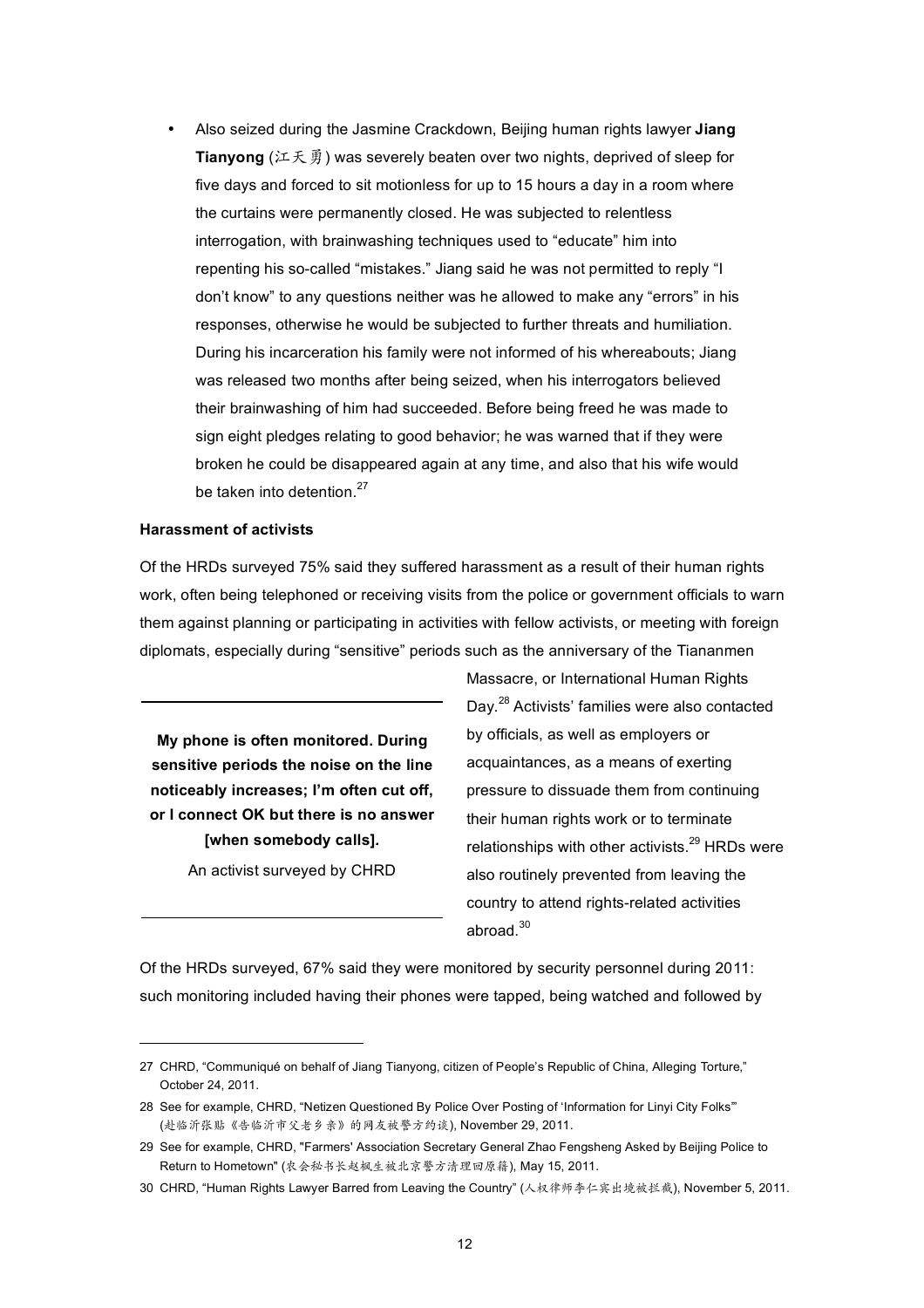• Also seized during the Jasmine Crackdown, Beijing human rights lawyer **Jiang Tianyong** (江天勇) was severely beaten over two nights, deprived of sleep for five days and forced to sit motionless for up to 15 hours a day in a room where the curtains were permanently closed. He was subjected to relentless interrogation, with brainwashing techniques used to "educate" him into repenting his so-called "mistakes." Jiang said he was not permitted to reply "I don't know" to any questions neither was he allowed to make any "errors" in his responses, otherwise he would be subjected to further threats and humiliation. During his incarceration his family were not informed of his whereabouts; Jiang was released two months after being seized, when his interrogators believed their brainwashing of him had succeeded. Before being freed he was made to sign eight pledges relating to good behavior; he was warned that if they were broken he could be disappeared again at any time, and also that his wife would be taken into detention. $27$ 

#### **Harassment of activists**

Of the HRDs surveyed 75% said they suffered harassment as a result of their human rights work, often being telephoned or receiving visits from the police or government officials to warn them against planning or participating in activities with fellow activists, or meeting with foreign diplomats, especially during "sensitive" periods such as the anniversary of the Tiananmen

**My phone is often monitored. During sensitive periods the noise on the line noticeably increases; I'm often cut off, or I connect OK but there is no answer [when somebody calls]***.*

An activist surveyed by CHRD

 $\overline{a}$ 

Massacre, or International Human Rights Day.<sup>28</sup> Activists' families were also contacted by officials, as well as employers or acquaintances, as a means of exerting pressure to dissuade them from continuing their human rights work or to terminate relationships with other activists.<sup>29</sup> HRDs were also routinely prevented from leaving the country to attend rights-related activities abroad.<sup>30</sup>

Of the HRDs surveyed, 67% said they were monitored by security personnel during 2011: such monitoring included having their phones were tapped, being watched and followed by

<sup>27</sup> CHRD, "Communiqué on behalf of Jiang Tianyong, citizen of People's Republic of China, Alleging Torture," October 24, 2011.

<sup>28</sup> See for example, CHRD, "Netizen Questioned By Police Over Posting of 'Information for Linyi City Folks'" (赴临沂张贴《告临沂市父老乡亲》的网友被警方约谈), November 29, 2011.

<sup>29</sup> See for example, CHRD, "Farmers' Association Secretary General Zhao Fengsheng Asked by Beijing Police to Return to Hometown" (农会秘书长赵枫生被北京警方清理回原籍), May 15, 2011.

<sup>30</sup> CHRD, "Human Rights Lawyer Barred from Leaving the Country" (人权律师李仁宾出境被拦截), November 5, 2011.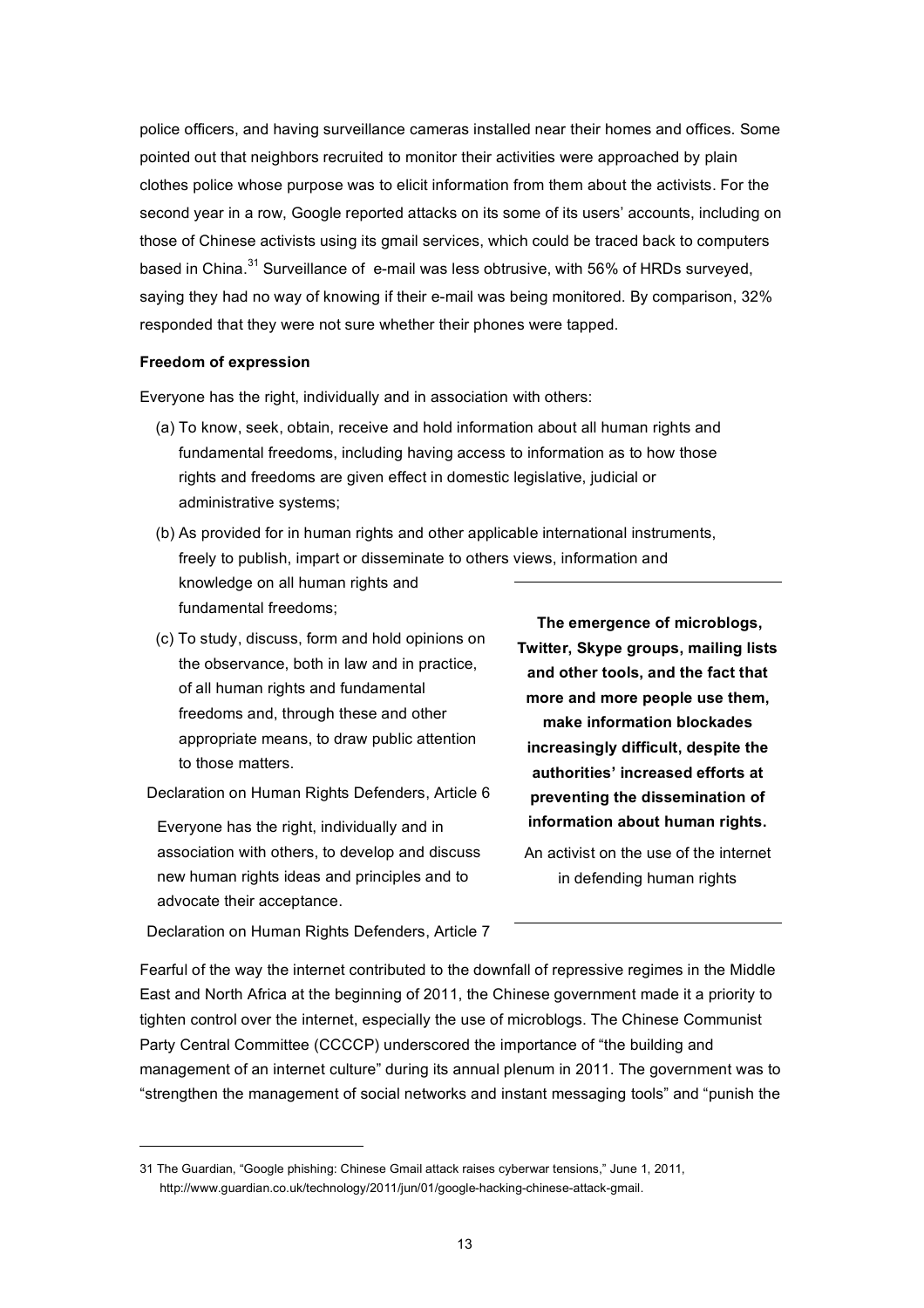police officers, and having surveillance cameras installed near their homes and offices. Some pointed out that neighbors recruited to monitor their activities were approached by plain clothes police whose purpose was to elicit information from them about the activists. For the second year in a row, Google reported attacks on its some of its users' accounts, including on those of Chinese activists using its gmail services, which could be traced back to computers based in China.<sup>31</sup> Surveillance of e-mail was less obtrusive, with 56% of HRDs surveyed. saying they had no way of knowing if their e-mail was being monitored. By comparison, 32% responded that they were not sure whether their phones were tapped.

## **Freedom of expression**

Everyone has the right, individually and in association with others:

- (a) To know, seek, obtain, receive and hold information about all human rights and fundamental freedoms, including having access to information as to how those rights and freedoms are given effect in domestic legislative, judicial or administrative systems;
- (b) As provided for in human rights and other applicable international instruments, freely to publish, impart or disseminate to others views, information and knowledge on all human rights and fundamental freedoms;
- (c) To study, discuss, form and hold opinions on the observance, both in law and in practice, of all human rights and fundamental freedoms and, through these and other appropriate means, to draw public attention to those matters.

Declaration on Human Rights Defenders, Article 6

Everyone has the right, individually and in association with others, to develop and discuss new human rights ideas and principles and to advocate their acceptance.

**The emergence of microblogs, Twitter, Skype groups, mailing lists and other tools, and the fact that more and more people use them, make information blockades increasingly difficult, despite the authorities' increased efforts at preventing the dissemination of information about human rights.** 

An activist on the use of the internet in defending human rights

Declaration on Human Rights Defenders, Article 7

Fearful of the way the internet contributed to the downfall of repressive regimes in the Middle East and North Africa at the beginning of 2011, the Chinese government made it a priority to tighten control over the internet, especially the use of microblogs. The Chinese Communist Party Central Committee (CCCCP) underscored the importance of "the building and management of an internet culture" during its annual plenum in 2011. The government was to "strengthen the management of social networks and instant messaging tools" and "punish the

<sup>31</sup> The Guardian, "Google phishing: Chinese Gmail attack raises cyberwar tensions," June 1, 2011, http://www.guardian.co.uk/technology/2011/jun/01/google-hacking-chinese-attack-gmail.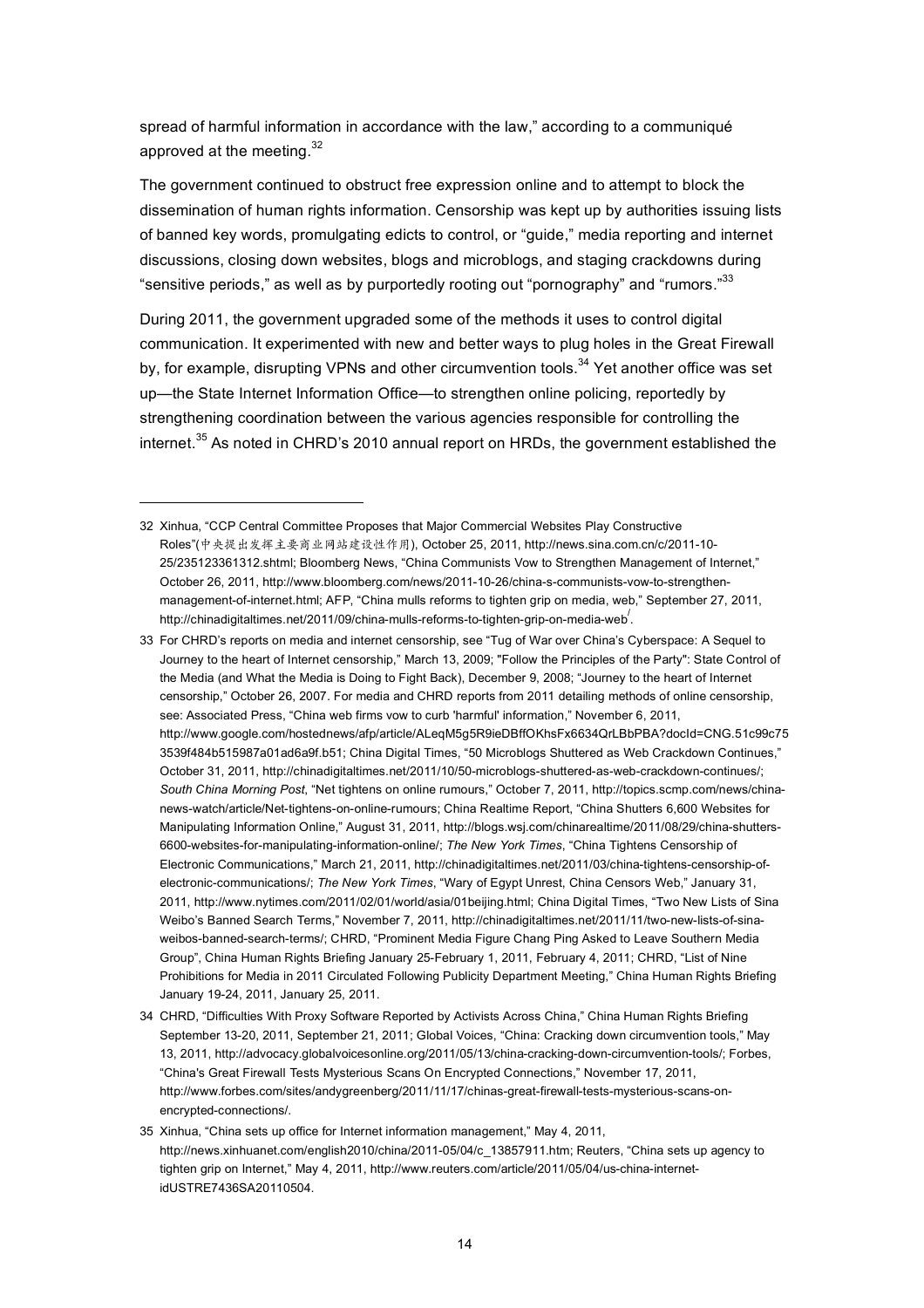spread of harmful information in accordance with the law," according to a communiqué approved at the meeting. $32$ 

The government continued to obstruct free expression online and to attempt to block the dissemination of human rights information. Censorship was kept up by authorities issuing lists of banned key words, promulgating edicts to control, or "guide," media reporting and internet discussions, closing down websites, blogs and microblogs, and staging crackdowns during "sensitive periods," as well as by purportedly rooting out "pornography" and "rumors."<sup>33</sup>

During 2011, the government upgraded some of the methods it uses to control digital communication. It experimented with new and better ways to plug holes in the Great Firewall by, for example, disrupting VPNs and other circumvention tools.<sup>34</sup> Yet another office was set up—the State Internet Information Office—to strengthen online policing, reportedly by strengthening coordination between the various agencies responsible for controlling the internet.<sup>35</sup> As noted in CHRD's 2010 annual report on HRDs, the government established the

34 CHRD, "Difficulties With Proxy Software Reported by Activists Across China," China Human Rights Briefing September 13-20, 2011, September 21, 2011; Global Voices, "China: Cracking down circumvention tools," May 13, 2011, http://advocacy.globalvoicesonline.org/2011/05/13/china-cracking-down-circumvention-tools/; Forbes, "China's Great Firewall Tests Mysterious Scans On Encrypted Connections," November 17, 2011, http://www.forbes.com/sites/andygreenberg/2011/11/17/chinas-great-firewall-tests-mysterious-scans-onencrypted-connections/.

<sup>32</sup> Xinhua, "CCP Central Committee Proposes that Major Commercial Websites Play Constructive Roles"(中央提出发挥主要商业网站建设性作用), October 25, 2011, http://news.sina.com.cn/c/2011-10- 25/235123361312.shtml; Bloomberg News, "China Communists Vow to Strengthen Management of Internet," October 26, 2011, http://www.bloomberg.com/news/2011-10-26/china-s-communists-vow-to-strengthenmanagement-of-internet.html; AFP, "China mulls reforms to tighten grip on media, web," September 27, 2011, http://chinadigitaltimes.net/2011/09/china-mulls-reforms-to-tighten-grip-on-media-web/ .

<sup>33</sup> For CHRD's reports on media and internet censorship, see "Tug of War over China's Cyberspace: A Sequel to Journey to the heart of Internet censorship," March 13, 2009; "Follow the Principles of the Party": State Control of the Media (and What the Media is Doing to Fight Back), December 9, 2008; "Journey to the heart of Internet censorship," October 26, 2007. For media and CHRD reports from 2011 detailing methods of online censorship, see: Associated Press, "China web firms vow to curb 'harmful' information," November 6, 2011, http://www.google.com/hostednews/afp/article/ALeqM5g5R9ieDBffOKhsFx6634QrLBbPBA?docId=CNG.51c99c75 3539f484b515987a01ad6a9f.b51; China Digital Times, "50 Microblogs Shuttered as Web Crackdown Continues," October 31, 2011, http://chinadigitaltimes.net/2011/10/50-microblogs-shuttered-as-web-crackdown-continues/; *South China Morning Post*, "Net tightens on online rumours," October 7, 2011, http://topics.scmp.com/news/chinanews-watch/article/Net-tightens-on-online-rumours; China Realtime Report, "China Shutters 6,600 Websites for Manipulating Information Online," August 31, 2011, http://blogs.wsj.com/chinarealtime/2011/08/29/china-shutters-6600-websites-for-manipulating-information-online/; *The New York Times*, "China Tightens Censorship of Electronic Communications," March 21, 2011, http://chinadigitaltimes.net/2011/03/china-tightens-censorship-ofelectronic-communications/; *The New York Times*, "Wary of Egypt Unrest, China Censors Web," January 31, 2011, http://www.nytimes.com/2011/02/01/world/asia/01beijing.html; China Digital Times, "Two New Lists of Sina Weibo's Banned Search Terms," November 7, 2011, http://chinadigitaltimes.net/2011/11/two-new-lists-of-sinaweibos-banned-search-terms/; CHRD, "Prominent Media Figure Chang Ping Asked to Leave Southern Media Group", China Human Rights Briefing January 25-February 1, 2011, February 4, 2011; CHRD, "List of Nine Prohibitions for Media in 2011 Circulated Following Publicity Department Meeting," China Human Rights Briefing January 19-24, 2011, January 25, 2011.

<sup>35</sup> Xinhua, "China sets up office for Internet information management," May 4, 2011, http://news.xinhuanet.com/english2010/china/2011-05/04/c\_13857911.htm; Reuters, "China sets up agency to tighten grip on Internet," May 4, 2011, http://www.reuters.com/article/2011/05/04/us-china-internetidUSTRE7436SA20110504.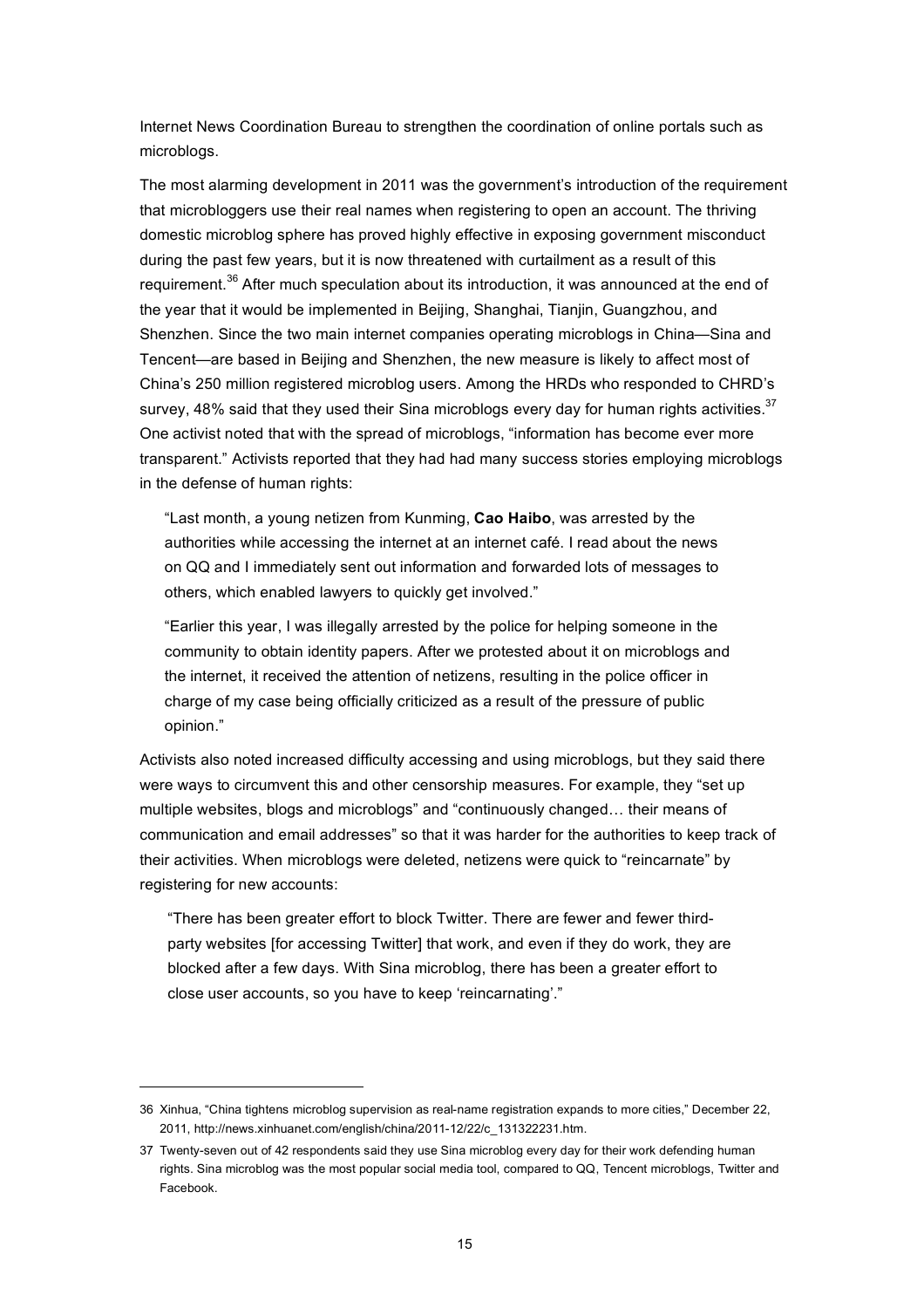Internet News Coordination Bureau to strengthen the coordination of online portals such as microblogs.

The most alarming development in 2011 was the government's introduction of the requirement that microbloggers use their real names when registering to open an account. The thriving domestic microblog sphere has proved highly effective in exposing government misconduct during the past few years, but it is now threatened with curtailment as a result of this requirement.<sup>36</sup> After much speculation about its introduction, it was announced at the end of the year that it would be implemented in Beijing, Shanghai, Tianjin, Guangzhou, and Shenzhen. Since the two main internet companies operating microblogs in China—Sina and Tencent—are based in Beijing and Shenzhen, the new measure is likely to affect most of China's 250 million registered microblog users. Among the HRDs who responded to CHRD's survey, 48% said that they used their Sina microblogs every day for human rights activities. $37$ One activist noted that with the spread of microblogs, "information has become ever more transparent." Activists reported that they had had many success stories employing microblogs in the defense of human rights:

"Last month, a young netizen from Kunming, **Cao Haibo**, was arrested by the authorities while accessing the internet at an internet café. I read about the news on QQ and I immediately sent out information and forwarded lots of messages to others, which enabled lawyers to quickly get involved."

"Earlier this year, I was illegally arrested by the police for helping someone in the community to obtain identity papers. After we protested about it on microblogs and the internet, it received the attention of netizens, resulting in the police officer in charge of my case being officially criticized as a result of the pressure of public opinion."

Activists also noted increased difficulty accessing and using microblogs, but they said there were ways to circumvent this and other censorship measures. For example, they "set up multiple websites, blogs and microblogs" and "continuously changed… their means of communication and email addresses" so that it was harder for the authorities to keep track of their activities. When microblogs were deleted, netizens were quick to "reincarnate" by registering for new accounts:

"There has been greater effort to block Twitter. There are fewer and fewer thirdparty websites [for accessing Twitter] that work, and even if they do work, they are blocked after a few days. With Sina microblog, there has been a greater effort to close user accounts, so you have to keep 'reincarnating'."

<sup>36</sup> Xinhua, "China tightens microblog supervision as real-name registration expands to more cities," December 22, 2011, http://news.xinhuanet.com/english/china/2011-12/22/c\_131322231.htm.

<sup>37</sup> Twenty-seven out of 42 respondents said they use Sina microblog every day for their work defending human rights. Sina microblog was the most popular social media tool, compared to QQ, Tencent microblogs, Twitter and Facebook.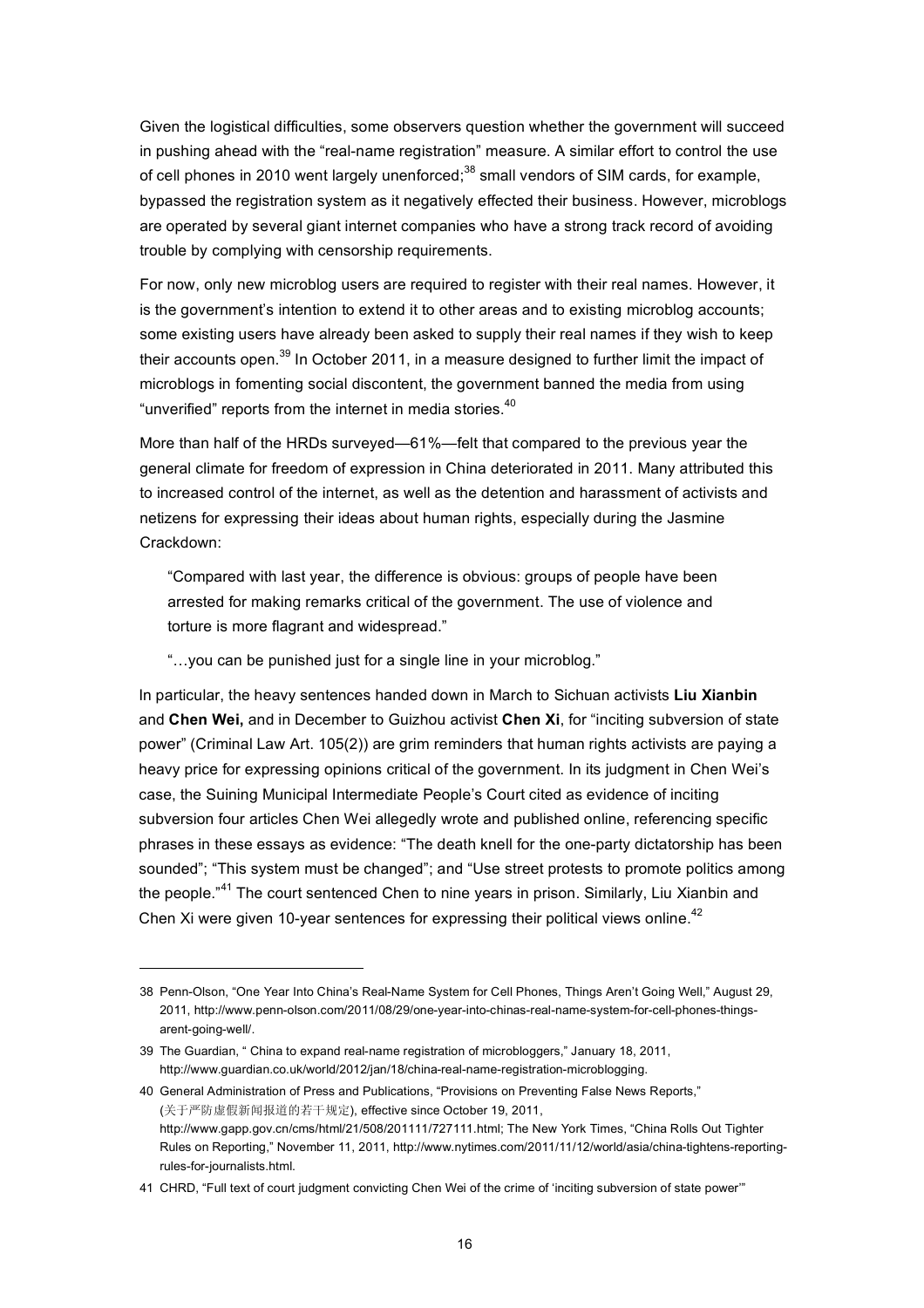Given the logistical difficulties, some observers question whether the government will succeed in pushing ahead with the "real-name registration" measure. A similar effort to control the use of cell phones in 2010 went largely unenforced;<sup>38</sup> small vendors of SIM cards, for example, bypassed the registration system as it negatively effected their business. However, microblogs are operated by several giant internet companies who have a strong track record of avoiding trouble by complying with censorship requirements.

For now, only new microblog users are required to register with their real names. However, it is the government's intention to extend it to other areas and to existing microblog accounts; some existing users have already been asked to supply their real names if they wish to keep their accounts open.<sup>39</sup> In October 2011, in a measure designed to further limit the impact of microblogs in fomenting social discontent, the government banned the media from using "unverified" reports from the internet in media stories.<sup>40</sup>

More than half of the HRDs surveyed—61%—felt that compared to the previous year the general climate for freedom of expression in China deteriorated in 2011. Many attributed this to increased control of the internet, as well as the detention and harassment of activists and netizens for expressing their ideas about human rights, especially during the Jasmine Crackdown:

"Compared with last year, the difference is obvious: groups of people have been arrested for making remarks critical of the government. The use of violence and torture is more flagrant and widespread."

"…you can be punished just for a single line in your microblog."

In particular, the heavy sentences handed down in March to Sichuan activists **Liu Xianbin** and **Chen Wei,** and in December to Guizhou activist **Chen Xi**, for "inciting subversion of state power" (Criminal Law Art. 105(2)) are grim reminders that human rights activists are paying a heavy price for expressing opinions critical of the government. In its judgment in Chen Wei's case, the Suining Municipal Intermediate People's Court cited as evidence of inciting subversion four articles Chen Wei allegedly wrote and published online, referencing specific phrases in these essays as evidence: "The death knell for the one-party dictatorship has been sounded"; "This system must be changed"; and "Use street protests to promote politics among the people."<sup>41</sup> The court sentenced Chen to nine years in prison. Similarly, Liu Xianbin and Chen Xi were given 10-year sentences for expressing their political views online.<sup>42</sup>

<sup>38</sup> Penn-Olson, "One Year Into China's Real-Name System for Cell Phones, Things Aren't Going Well," August 29, 2011, http://www.penn-olson.com/2011/08/29/one-year-into-chinas-real-name-system-for-cell-phones-thingsarent-going-well/.

<sup>39</sup> The Guardian, " China to expand real-name registration of microbloggers," January 18, 2011, http://www.guardian.co.uk/world/2012/jan/18/china-real-name-registration-microblogging.

<sup>40</sup> General Administration of Press and Publications, "Provisions on Preventing False News Reports," (关于严防虚假新闻报道的若干规定), effective since October 19, 2011, http://www.gapp.gov.cn/cms/html/21/508/201111/727111.html; The New York Times, "China Rolls Out Tighter Rules on Reporting," November 11, 2011, http://www.nytimes.com/2011/11/12/world/asia/china-tightens-reportingrules-for-journalists.html.

<sup>41</sup> CHRD, "Full text of court judgment convicting Chen Wei of the crime of 'inciting subversion of state power'"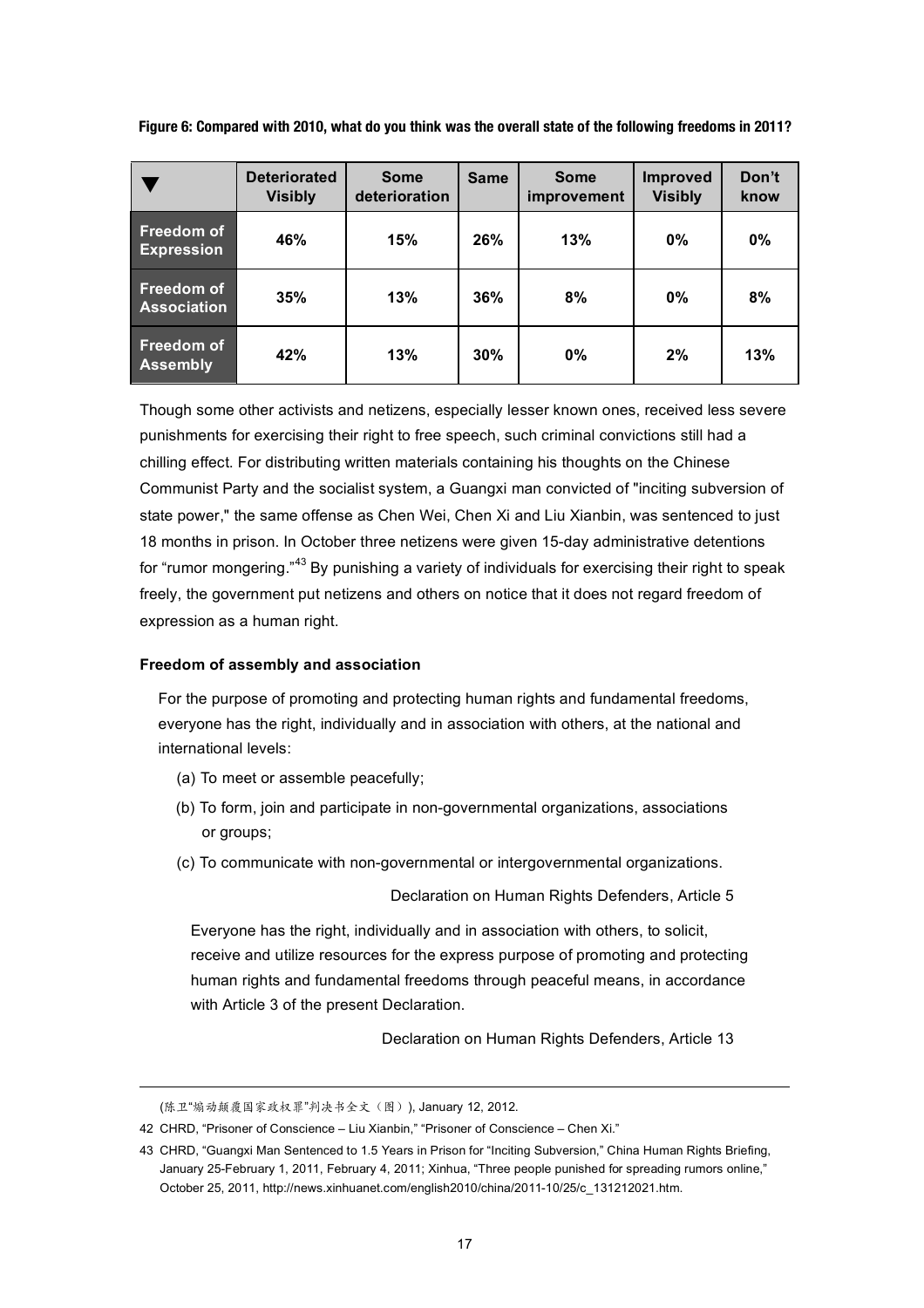|  |  |  | Figure 6: Compared with 2010, what do you think was the overall state of the following freedoms in 2011? |  |
|--|--|--|----------------------------------------------------------------------------------------------------------|--|
|  |  |  |                                                                                                          |  |

|                                  | <b>Deteriorated</b><br><b>Visibly</b> | <b>Some</b><br>deterioration | <b>Same</b> | <b>Some</b><br>improvement | <b>Improved</b><br><b>Visibly</b> | Don't<br>know |
|----------------------------------|---------------------------------------|------------------------------|-------------|----------------------------|-----------------------------------|---------------|
| Freedom of<br><b>Expression</b>  | 46%                                   | 15%                          | 26%         | 13%                        | $0\%$                             | 0%            |
| Freedom of<br><b>Association</b> | 35%                                   | 13%                          | 36%         | 8%                         | $0\%$                             | 8%            |
| Freedom of<br><b>Assembly</b>    | 42%                                   | 13%                          | 30%         | 0%                         | 2%                                | 13%           |

Though some other activists and netizens, especially lesser known ones, received less severe punishments for exercising their right to free speech, such criminal convictions still had a chilling effect. For distributing written materials containing his thoughts on the Chinese Communist Party and the socialist system, a Guangxi man convicted of "inciting subversion of state power," the same offense as Chen Wei, Chen Xi and Liu Xianbin, was sentenced to just 18 months in prison. In October three netizens were given 15-day administrative detentions for "rumor mongering."43 By punishing a variety of individuals for exercising their right to speak freely, the government put netizens and others on notice that it does not regard freedom of expression as a human right.

# **Freedom of assembly and association**

For the purpose of promoting and protecting human rights and fundamental freedoms, everyone has the right, individually and in association with others, at the national and international levels:

- (a) To meet or assemble peacefully;
- (b) To form, join and participate in non-governmental organizations, associations or groups;
- (c) To communicate with non-governmental or intergovernmental organizations.

Declaration on Human Rights Defenders, Article 5

Everyone has the right, individually and in association with others, to solicit, receive and utilize resources for the express purpose of promoting and protecting human rights and fundamental freedoms through peaceful means, in accordance with Article 3 of the present Declaration.

Declaration on Human Rights Defenders, Article 13

<sup>(</sup>陈卫"煽动颠覆国家政权罪"判决书全文(图)), January 12, 2012.

<sup>42</sup> CHRD, "Prisoner of Conscience – Liu Xianbin," "Prisoner of Conscience – Chen Xi."

<sup>43</sup> CHRD, "Guangxi Man Sentenced to 1.5 Years in Prison for "Inciting Subversion," China Human Rights Briefing, January 25-February 1, 2011, February 4, 2011; Xinhua, "Three people punished for spreading rumors online," October 25, 2011, http://news.xinhuanet.com/english2010/china/2011-10/25/c\_131212021.htm.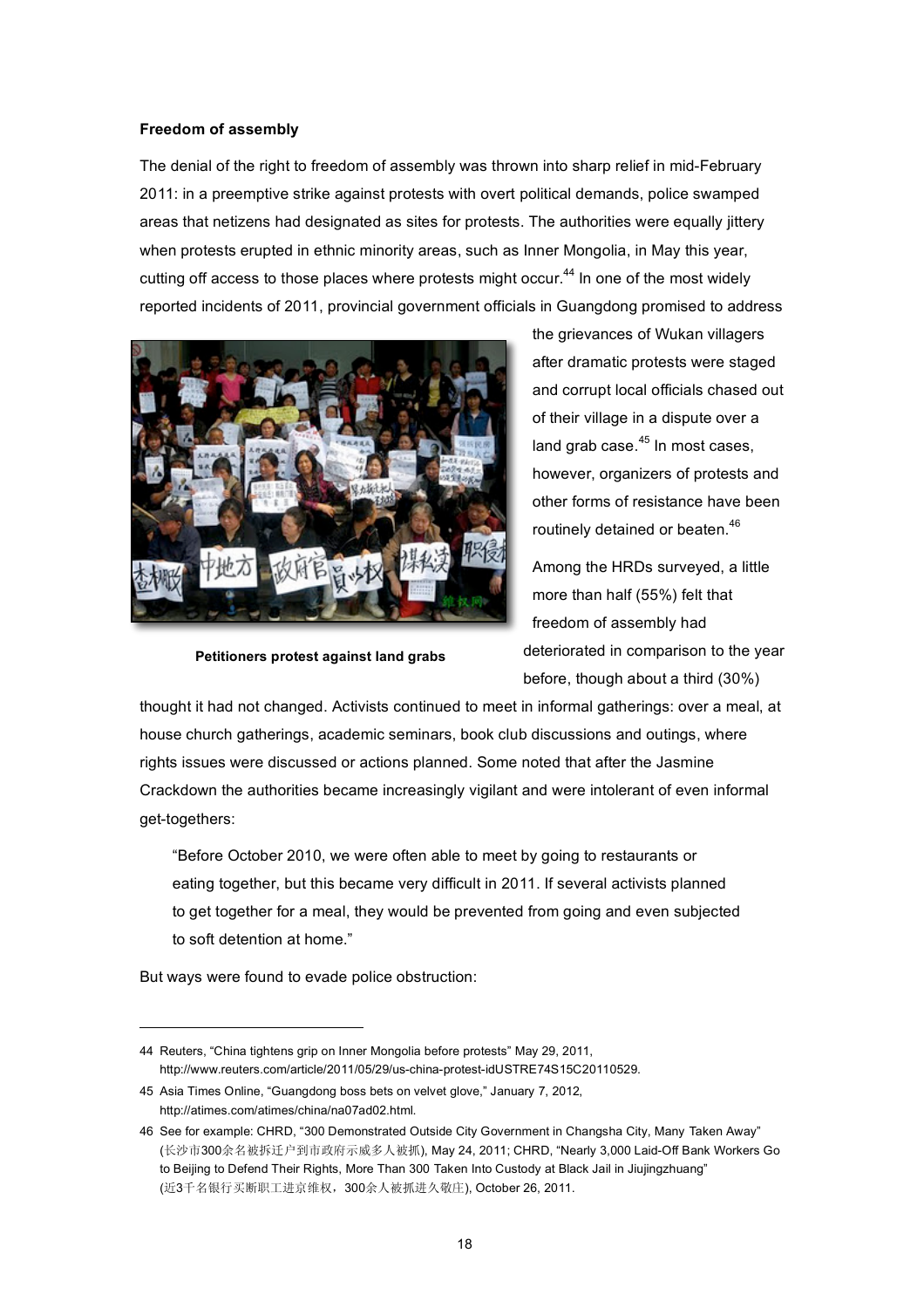## **Freedom of assembly**

The denial of the right to freedom of assembly was thrown into sharp relief in mid-February 2011: in a preemptive strike against protests with overt political demands, police swamped areas that netizens had designated as sites for protests. The authorities were equally jittery when protests erupted in ethnic minority areas, such as Inner Mongolia, in May this year, cutting off access to those places where protests might occur.<sup>44</sup> In one of the most widely reported incidents of 2011, provincial government officials in Guangdong promised to address



the grievances of Wukan villagers after dramatic protests were staged and corrupt local officials chased out of their village in a dispute over a land grab case. $45$  In most cases, however, organizers of protests and other forms of resistance have been routinely detained or beaten.<sup>46</sup>

Among the HRDs surveyed, a little more than half (55%) felt that freedom of assembly had deteriorated in comparison to the year before, though about a third (30%)

**Petitioners protest against land grabs**

thought it had not changed. Activists continued to meet in informal gatherings: over a meal, at house church gatherings, academic seminars, book club discussions and outings, where rights issues were discussed or actions planned. Some noted that after the Jasmine Crackdown the authorities became increasingly vigilant and were intolerant of even informal get-togethers:

"Before October 2010, we were often able to meet by going to restaurants or eating together, but this became very difficult in 2011. If several activists planned to get together for a meal, they would be prevented from going and even subjected to soft detention at home."

But ways were found to evade police obstruction:

<sup>44</sup> Reuters, "China tightens grip on Inner Mongolia before protests" May 29, 2011, http://www.reuters.com/article/2011/05/29/us-china-protest-idUSTRE74S15C20110529.

<sup>45</sup> Asia Times Online, "Guangdong boss bets on velvet glove," January 7, 2012, http://atimes.com/atimes/china/na07ad02.html.

<sup>46</sup> See for example: CHRD, "300 Demonstrated Outside City Government in Changsha City, Many Taken Away" (长沙市300余名被拆迁户到市政府示威多人被抓), May 24, 2011; CHRD, "Nearly 3,000 Laid-Off Bank Workers Go to Beijing to Defend Their Rights, More Than 300 Taken Into Custody at Black Jail in Jiujingzhuang" (近3千名银行买断职工进京维权,300余人被抓进久敬庄), October 26, 2011.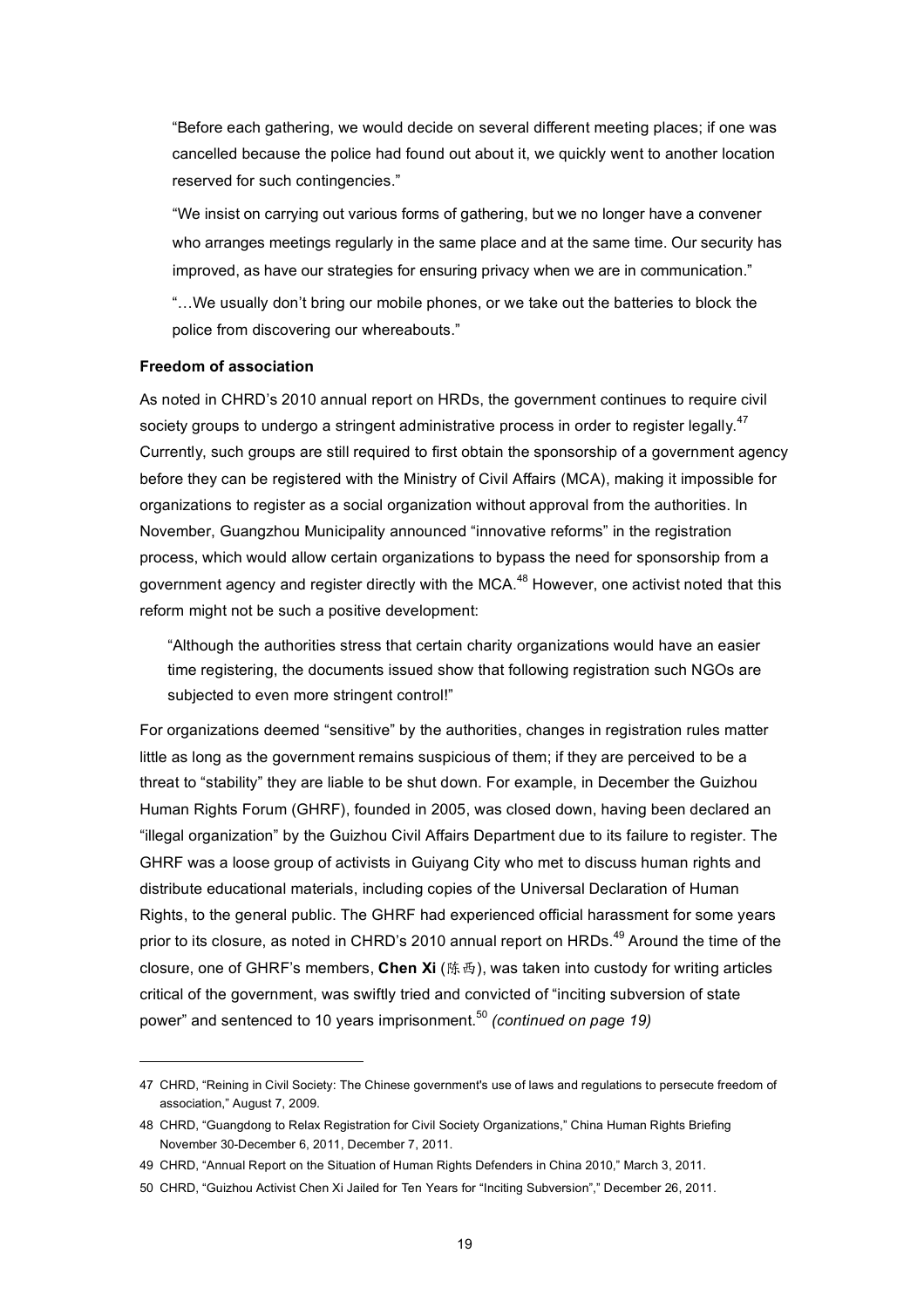"Before each gathering, we would decide on several different meeting places; if one was cancelled because the police had found out about it, we quickly went to another location reserved for such contingencies."

"We insist on carrying out various forms of gathering, but we no longer have a convener who arranges meetings regularly in the same place and at the same time. Our security has improved, as have our strategies for ensuring privacy when we are in communication."

"…We usually don't bring our mobile phones, or we take out the batteries to block the police from discovering our whereabouts."

## **Freedom of association**

 $\overline{a}$ 

As noted in CHRD's 2010 annual report on HRDs, the government continues to require civil society groups to undergo a stringent administrative process in order to register legally.<sup>47</sup> Currently, such groups are still required to first obtain the sponsorship of a government agency before they can be registered with the Ministry of Civil Affairs (MCA), making it impossible for organizations to register as a social organization without approval from the authorities. In November, Guangzhou Municipality announced "innovative reforms" in the registration process, which would allow certain organizations to bypass the need for sponsorship from a government agency and register directly with the MCA.<sup>48</sup> However, one activist noted that this reform might not be such a positive development:

"Although the authorities stress that certain charity organizations would have an easier time registering, the documents issued show that following registration such NGOs are subjected to even more stringent control!"

For organizations deemed "sensitive" by the authorities, changes in registration rules matter little as long as the government remains suspicious of them; if they are perceived to be a threat to "stability" they are liable to be shut down. For example, in December the Guizhou Human Rights Forum (GHRF), founded in 2005, was closed down, having been declared an "illegal organization" by the Guizhou Civil Affairs Department due to its failure to register. The GHRF was a loose group of activists in Guiyang City who met to discuss human rights and distribute educational materials, including copies of the Universal Declaration of Human Rights, to the general public. The GHRF had experienced official harassment for some years prior to its closure, as noted in CHRD's 2010 annual report on HRDs.<sup>49</sup> Around the time of the closure, one of GHRF's members, **Chen Xi** (陈西), was taken into custody for writing articles critical of the government, was swiftly tried and convicted of "inciting subversion of state power" and sentenced to 10 years imprisonment.<sup>50</sup> *(continued on page 19)*

<sup>47</sup> CHRD, "Reining in Civil Society: The Chinese government's use of laws and regulations to persecute freedom of association," August 7, 2009.

<sup>48</sup> CHRD, "Guangdong to Relax Registration for Civil Society Organizations," China Human Rights Briefing November 30-December 6, 2011, December 7, 2011.

<sup>49</sup> CHRD, "Annual Report on the Situation of Human Rights Defenders in China 2010," March 3, 2011.

<sup>50</sup> CHRD, "Guizhou Activist Chen Xi Jailed for Ten Years for "Inciting Subversion"," December 26, 2011.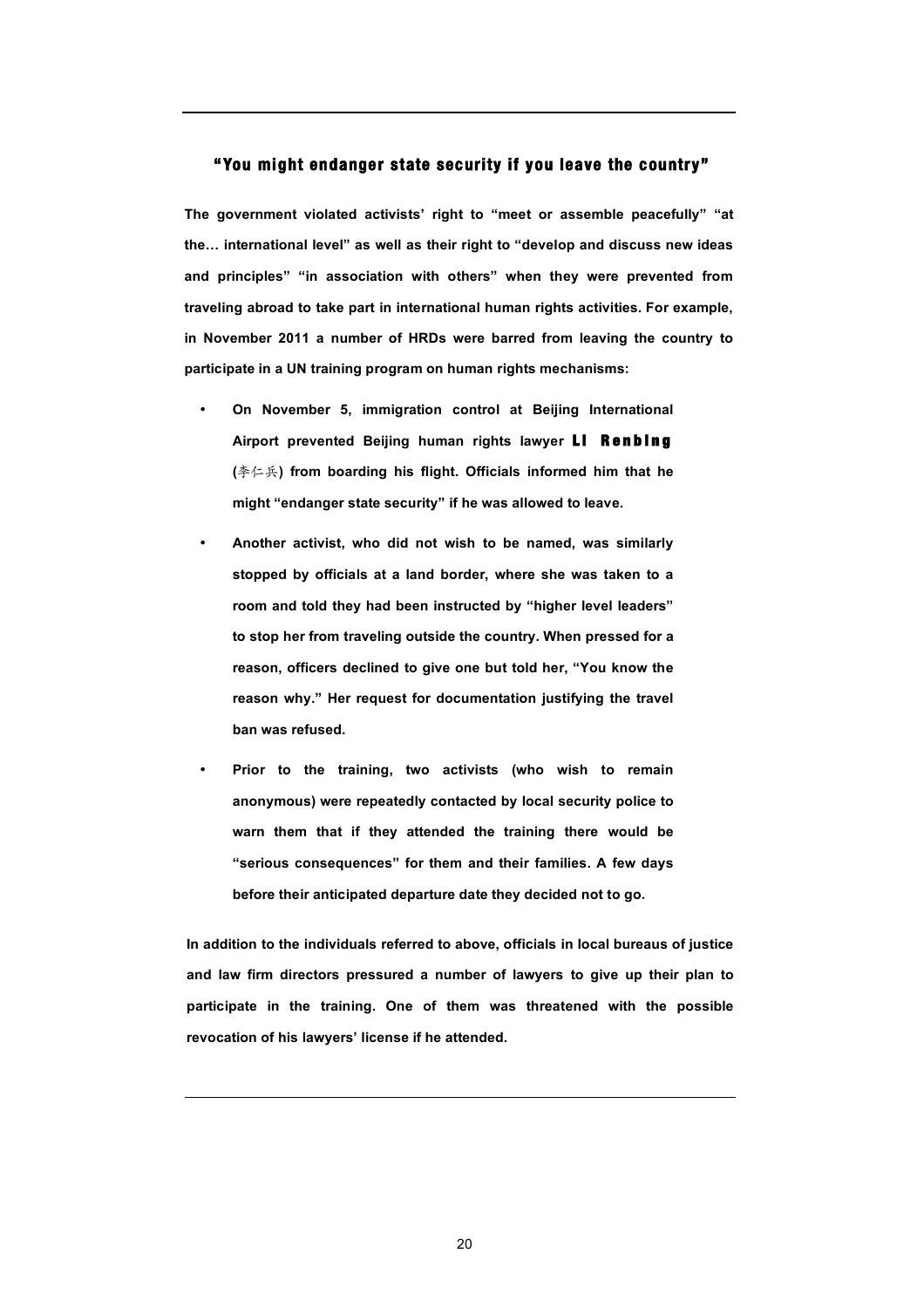# **"You might endanger state security if you leave the country"**

**The government violated activists' right to "meet or assemble peacefully" "at the… international level" as well as their right to "develop and discuss new ideas and principles" "in association with others" when they were prevented from traveling abroad to take part in international human rights activities. For example, in November 2011 a number of HRDs were barred from leaving the country to participate in a UN training program on human rights mechanisms:**

- **On November 5, immigration control at Beijing International**  Airport prevented Beijing human rights lawyer **LI Renbing (**李仁兵**) from boarding his flight. Officials informed him that he might "endanger state security" if he was allowed to leave.**
- **Another activist, who did not wish to be named, was similarly stopped by officials at a land border, where she was taken to a room and told they had been instructed by "higher level leaders" to stop her from traveling outside the country. When pressed for a reason, officers declined to give one but told her, "You know the reason why." Her request for documentation justifying the travel ban was refused.**
- **Prior to the training, two activists (who wish to remain anonymous) were repeatedly contacted by local security police to warn them that if they attended the training there would be "serious consequences" for them and their families. A few days before their anticipated departure date they decided not to go.**

**In addition to the individuals referred to above, officials in local bureaus of justice and law firm directors pressured a number of lawyers to give up their plan to participate in the training. One of them was threatened with the possible revocation of his lawyers' license if he attended.**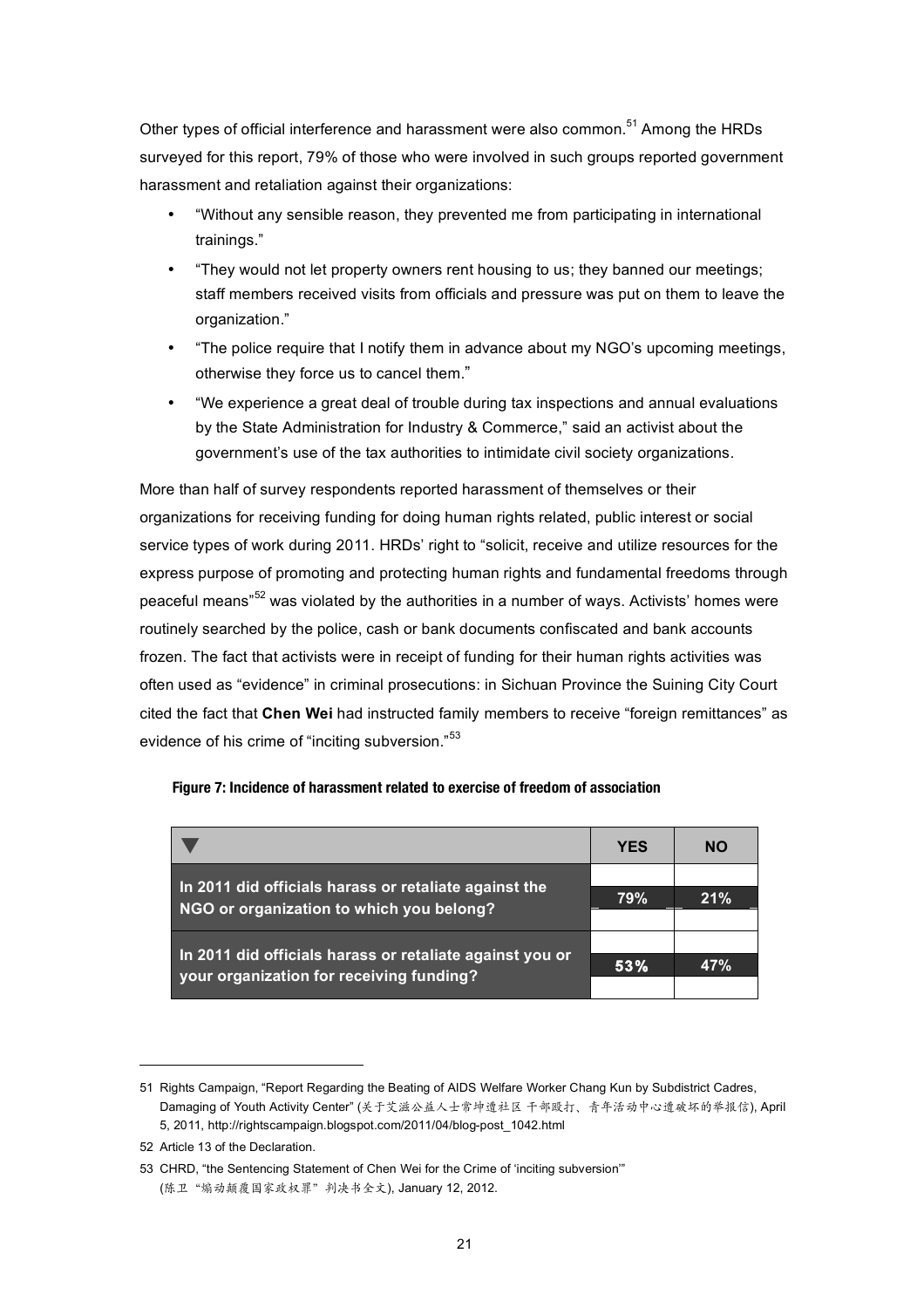Other types of official interference and harassment were also common.<sup>51</sup> Among the HRDs surveyed for this report, 79% of those who were involved in such groups reported government harassment and retaliation against their organizations:

- "Without any sensible reason, they prevented me from participating in international trainings."
- "They would not let property owners rent housing to us; they banned our meetings; staff members received visits from officials and pressure was put on them to leave the organization."
- "The police require that I notify them in advance about my NGO's upcoming meetings, otherwise they force us to cancel them."
- "We experience a great deal of trouble during tax inspections and annual evaluations by the State Administration for Industry & Commerce," said an activist about the government's use of the tax authorities to intimidate civil society organizations.

More than half of survey respondents reported harassment of themselves or their organizations for receiving funding for doing human rights related, public interest or social service types of work during 2011. HRDs' right to "solicit, receive and utilize resources for the express purpose of promoting and protecting human rights and fundamental freedoms through peaceful means"<sup>52</sup> was violated by the authorities in a number of ways. Activists' homes were routinely searched by the police, cash or bank documents confiscated and bank accounts frozen. The fact that activists were in receipt of funding for their human rights activities was often used as "evidence" in criminal prosecutions: in Sichuan Province the Suining City Court cited the fact that **Chen Wei** had instructed family members to receive "foreign remittances" as evidence of his crime of "inciting subversion."<sup>53</sup>

|                                                                                                      | <b>YES</b> | <b>NO</b> |
|------------------------------------------------------------------------------------------------------|------------|-----------|
| In 2011 did officials harass or retaliate against the                                                |            |           |
| NGO or organization to which you belong?                                                             | 79%        | 21%       |
|                                                                                                      |            |           |
| In 2011 did officials harass or retaliate against you or<br>your organization for receiving funding? | 53%        | 47%       |
|                                                                                                      |            |           |

## **Figure 7: Incidence of harassment related to exercise of freedom of association**

<sup>51</sup> Rights Campaign, "Report Regarding the Beating of AIDS Welfare Worker Chang Kun by Subdistrict Cadres, Damaging of Youth Activity Center" (关于艾滋公益人士常坤遭社区 干部殴打、青年活动中心遭破坏的举报信), April 5, 2011, http://rightscampaign.blogspot.com/2011/04/blog-post\_1042.html

<sup>52</sup> Article 13 of the Declaration.

<sup>53</sup> CHRD, "the Sentencing Statement of Chen Wei for the Crime of 'inciting subversion'" (陈卫"煽动颠覆国家政权罪"判决书全文), January 12, 2012.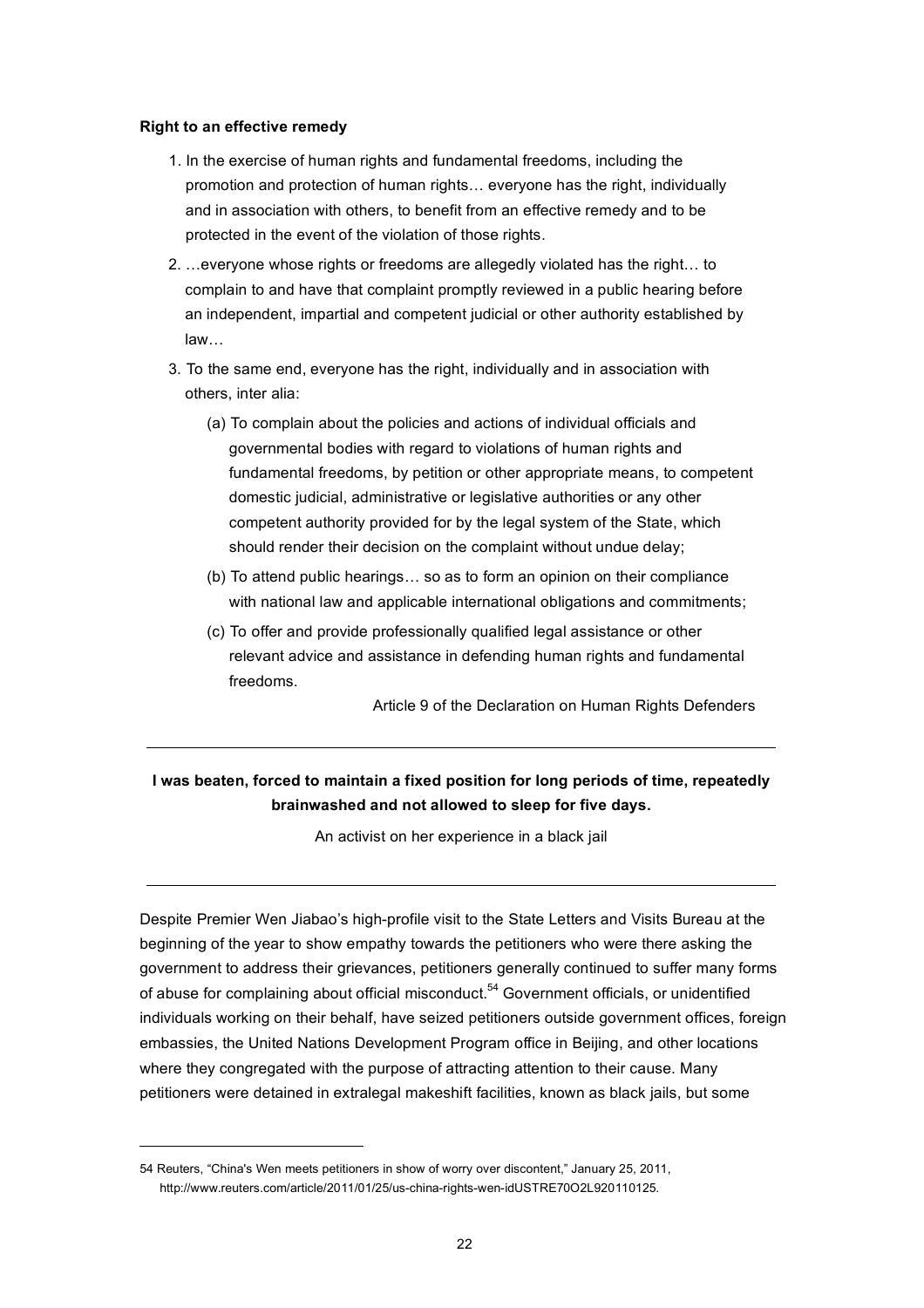## **Right to an effective remedy**

- 1. In the exercise of human rights and fundamental freedoms, including the promotion and protection of human rights… everyone has the right, individually and in association with others, to benefit from an effective remedy and to be protected in the event of the violation of those rights.
- 2. …everyone whose rights or freedoms are allegedly violated has the right… to complain to and have that complaint promptly reviewed in a public hearing before an independent, impartial and competent judicial or other authority established by law…
- 3. To the same end, everyone has the right, individually and in association with others, inter alia:
	- (a) To complain about the policies and actions of individual officials and governmental bodies with regard to violations of human rights and fundamental freedoms, by petition or other appropriate means, to competent domestic judicial, administrative or legislative authorities or any other competent authority provided for by the legal system of the State, which should render their decision on the complaint without undue delay;
	- (b) To attend public hearings… so as to form an opinion on their compliance with national law and applicable international obligations and commitments;
	- (c) To offer and provide professionally qualified legal assistance or other relevant advice and assistance in defending human rights and fundamental freedoms.

Article 9 of the Declaration on Human Rights Defenders

# **I was beaten, forced to maintain a fixed position for long periods of time, repeatedly brainwashed and not allowed to sleep for five days.**

An activist on her experience in a black jail

Despite Premier Wen Jiabao's high-profile visit to the State Letters and Visits Bureau at the beginning of the year to show empathy towards the petitioners who were there asking the government to address their grievances, petitioners generally continued to suffer many forms of abuse for complaining about official misconduct.<sup>54</sup> Government officials, or unidentified individuals working on their behalf, have seized petitioners outside government offices, foreign embassies, the United Nations Development Program office in Beijing, and other locations where they congregated with the purpose of attracting attention to their cause. Many petitioners were detained in extralegal makeshift facilities, known as black jails, but some

<sup>54</sup> Reuters, "China's Wen meets petitioners in show of worry over discontent," January 25, 2011, http://www.reuters.com/article/2011/01/25/us-china-rights-wen-idUSTRE70O2L920110125.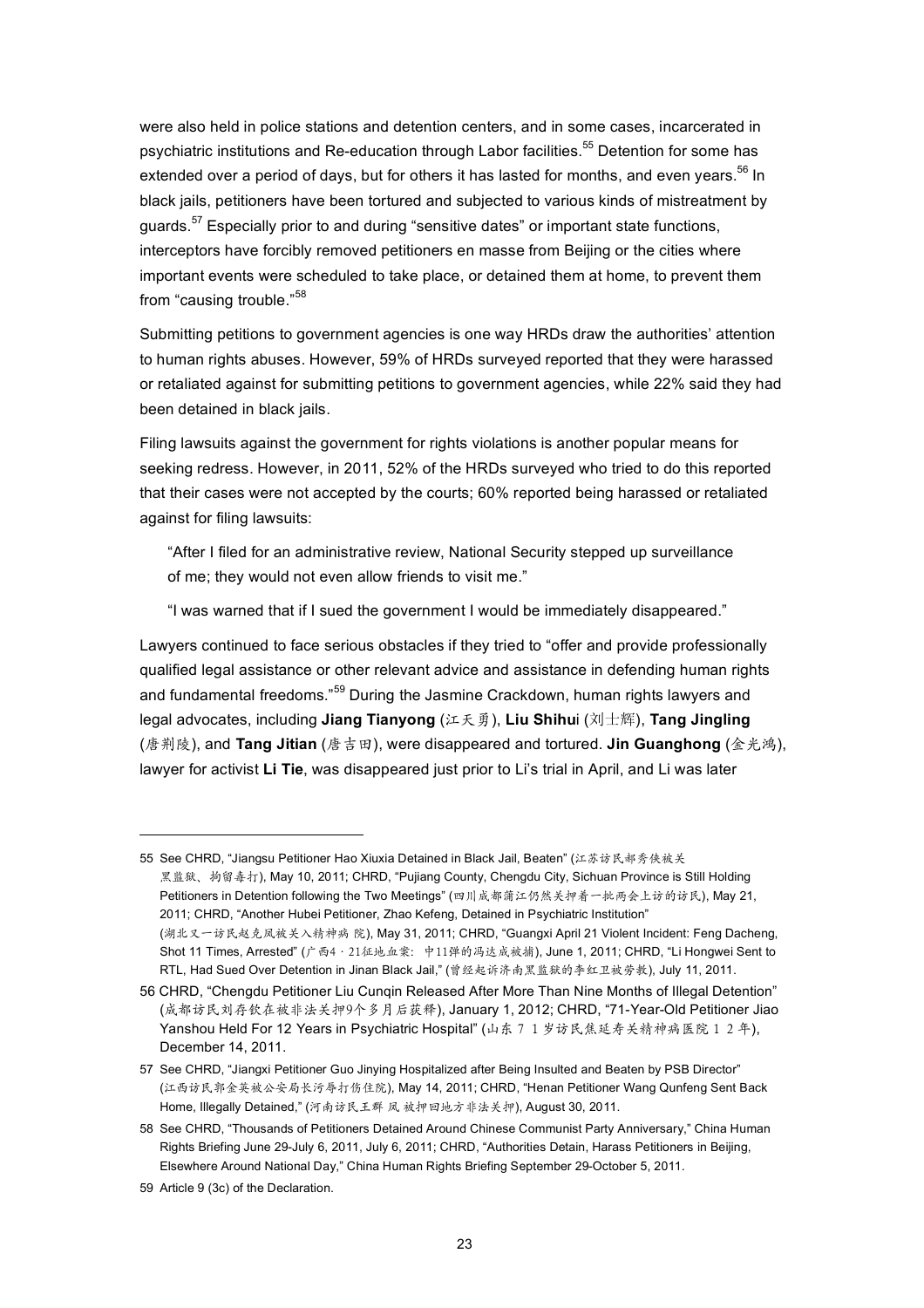were also held in police stations and detention centers, and in some cases, incarcerated in psychiatric institutions and Re-education through Labor facilities.<sup>55</sup> Detention for some has extended over a period of days, but for others it has lasted for months, and even years.<sup>56</sup> In black jails, petitioners have been tortured and subjected to various kinds of mistreatment by guards.<sup>57</sup> Especially prior to and during "sensitive dates" or important state functions, interceptors have forcibly removed petitioners en masse from Beijing or the cities where important events were scheduled to take place, or detained them at home, to prevent them from "causing trouble."<sup>58</sup>

Submitting petitions to government agencies is one way HRDs draw the authorities' attention to human rights abuses. However, 59% of HRDs surveyed reported that they were harassed or retaliated against for submitting petitions to government agencies, while 22% said they had been detained in black jails.

Filing lawsuits against the government for rights violations is another popular means for seeking redress. However, in 2011, 52% of the HRDs surveyed who tried to do this reported that their cases were not accepted by the courts; 60% reported being harassed or retaliated against for filing lawsuits:

"After I filed for an administrative review, National Security stepped up surveillance of me; they would not even allow friends to visit me."

"I was warned that if I sued the government I would be immediately disappeared."

Lawyers continued to face serious obstacles if they tried to "offer and provide professionally qualified legal assistance or other relevant advice and assistance in defending human rights and fundamental freedoms."<sup>59</sup> During the Jasmine Crackdown, human rights lawyers and legal advocates, including **Jiang Tianyong** (江天勇), **Liu Shihu**i (刘士辉), **Tang Jingling** (唐荆陵), and **Tang Jitian** (唐吉田), were disappeared and tortured. **Jin Guanghong** (金光鸿), lawyer for activist **Li Tie**, was disappeared just prior to Li's trial in April, and Li was later

<sup>55</sup> See CHRD, "Jiangsu Petitioner Hao Xiuxia Detained in Black Jail, Beaten" (江苏访民郝秀侠被关 黑监狱、拘留毒打), May 10, 2011; CHRD, "Pujiang County, Chengdu City, Sichuan Province is Still Holding Petitioners in Detention following the Two Meetings" (四川成都蒲江仍然关押着一批两会上访的访民), May 21, 2011; CHRD, "Another Hubei Petitioner, Zhao Kefeng, Detained in Psychiatric Institution" (湖北又一访民赵克凤被关入精神病 院), May 31, 2011; CHRD, "Guangxi April 21 Violent Incident: Feng Dacheng, Shot 11 Times, Arrested" (广西4·21征地血案: 中11弹的冯达成被捕), June 1, 2011; CHRD, "Li Hongwei Sent to RTL, Had Sued Over Detention in Jinan Black Jail," (曾经起诉济南黑监狱的李红卫被劳教), July 11, 2011.

<sup>56</sup> CHRD, "Chengdu Petitioner Liu Cunqin Released After More Than Nine Months of Illegal Detention" (成都访民刘存钦在被非法关押9个多月后获释), January 1, 2012; CHRD, "71-Year-Old Petitioner Jiao Yanshou Held For 12 Years in Psychiatric Hospital" (山东 7 1 岁访民焦延寿关精神病医院 1 2年), December 14, 2011.

<sup>57</sup> See CHRD, "Jiangxi Petitioner Guo Jinying Hospitalized after Being Insulted and Beaten by PSB Director" (江西访民郭金英被公安局长污辱打伤住院), May 14, 2011; CHRD, "Henan Petitioner Wang Qunfeng Sent Back Home, Illegally Detained," (河南访民王群 凤 被押回地方非法关押), August 30, 2011.

<sup>58</sup> See CHRD, "Thousands of Petitioners Detained Around Chinese Communist Party Anniversary," China Human Rights Briefing June 29-July 6, 2011, July 6, 2011; CHRD, "Authorities Detain, Harass Petitioners in Beijing, Elsewhere Around National Day," China Human Rights Briefing September 29-October 5, 2011.

<sup>59</sup> Article 9 (3c) of the Declaration.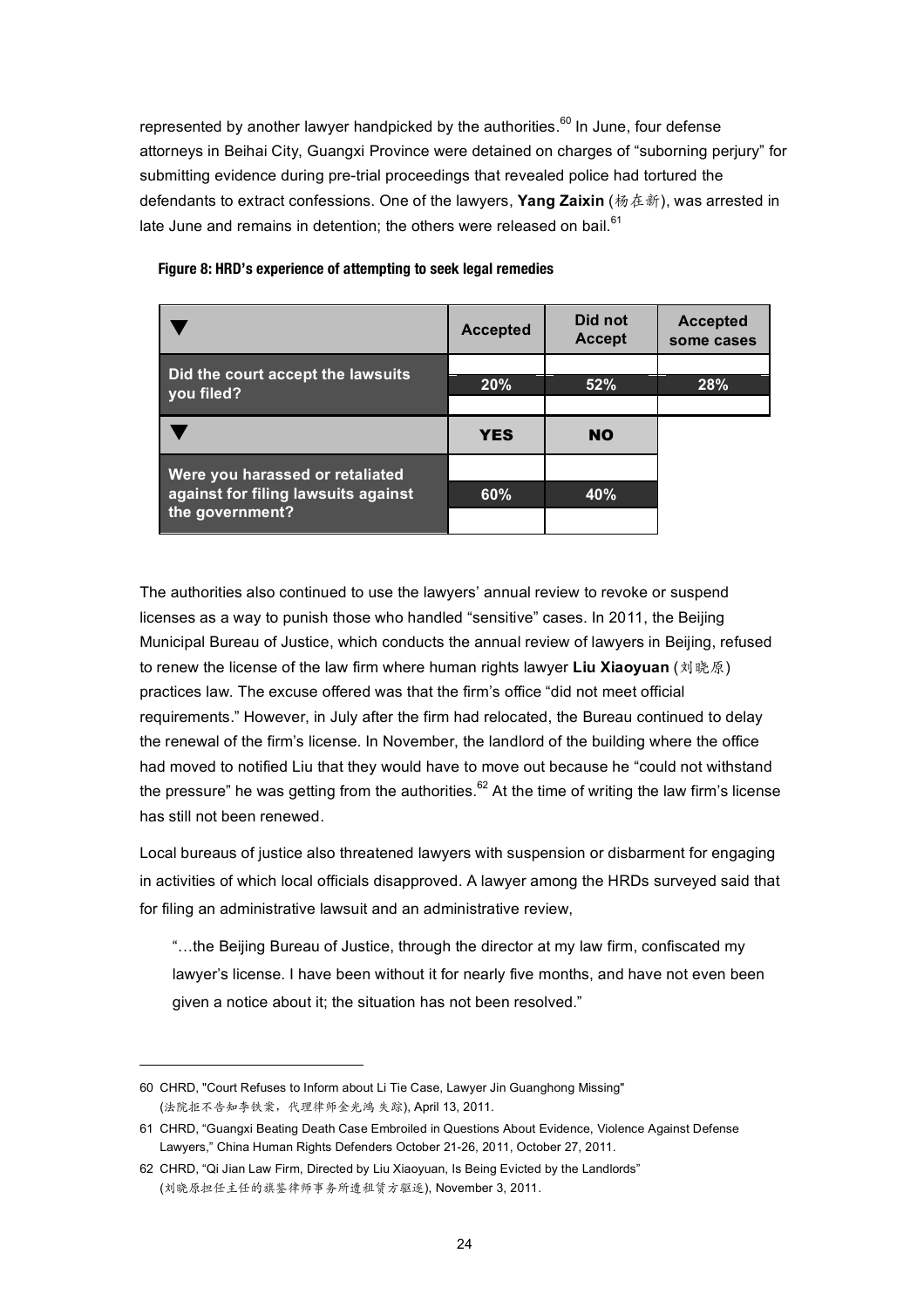represented by another lawyer handpicked by the authorities.<sup>60</sup> In June, four defense attorneys in Beihai City, Guangxi Province were detained on charges of "suborning perjury" for submitting evidence during pre-trial proceedings that revealed police had tortured the defendants to extract confessions. One of the lawyers, **Yang Zaixin** (杨在新), was arrested in late June and remains in detention; the others were released on bail.<sup>61</sup>

|                                     | <b>Accepted</b> | Did not<br><b>Accept</b> | <b>Accepted</b><br>some cases |
|-------------------------------------|-----------------|--------------------------|-------------------------------|
| Did the court accept the lawsuits   |                 |                          |                               |
| you filed?                          | 20%             | 52%                      | <b>28%</b>                    |
|                                     |                 |                          |                               |
|                                     | <b>YES</b>      | <b>NO</b>                |                               |
| Were you harassed or retaliated     |                 |                          |                               |
| against for filing lawsuits against | 60%             | 40%                      |                               |
| the government?                     |                 |                          |                               |

## **Figure 8: HRD's experience of attempting to seek legal remedies**

The authorities also continued to use the lawyers' annual review to revoke or suspend licenses as a way to punish those who handled "sensitive" cases. In 2011, the Beijing Municipal Bureau of Justice, which conducts the annual review of lawyers in Beijing, refused to renew the license of the law firm where human rights lawyer **Liu Xiaoyuan** (刘晓原) practices law. The excuse offered was that the firm's office "did not meet official requirements." However, in July after the firm had relocated, the Bureau continued to delay the renewal of the firm's license. In November, the landlord of the building where the office had moved to notified Liu that they would have to move out because he "could not withstand the pressure" he was getting from the authorities.<sup>62</sup> At the time of writing the law firm's license has still not been renewed.

Local bureaus of justice also threatened lawyers with suspension or disbarment for engaging in activities of which local officials disapproved. A lawyer among the HRDs surveyed said that for filing an administrative lawsuit and an administrative review,

"…the Beijing Bureau of Justice, through the director at my law firm, confiscated my lawyer's license. I have been without it for nearly five months, and have not even been given a notice about it; the situation has not been resolved."

<sup>60</sup> CHRD, "Court Refuses to Inform about Li Tie Case, Lawyer Jin Guanghong Missing" (法院拒不告知李铁案,代理律师金光鸿 失踪), April 13, 2011.

<sup>61</sup> CHRD, "Guangxi Beating Death Case Embroiled in Questions About Evidence, Violence Against Defense Lawyers," China Human Rights Defenders October 21-26, 2011, October 27, 2011.

<sup>62</sup> CHRD, "Qi Jian Law Firm, Directed by Liu Xiaoyuan, Is Being Evicted by the Landlords" (刘晓原担任主任的旗鉴律师事务所遭租赁方驱逐), November 3, 2011.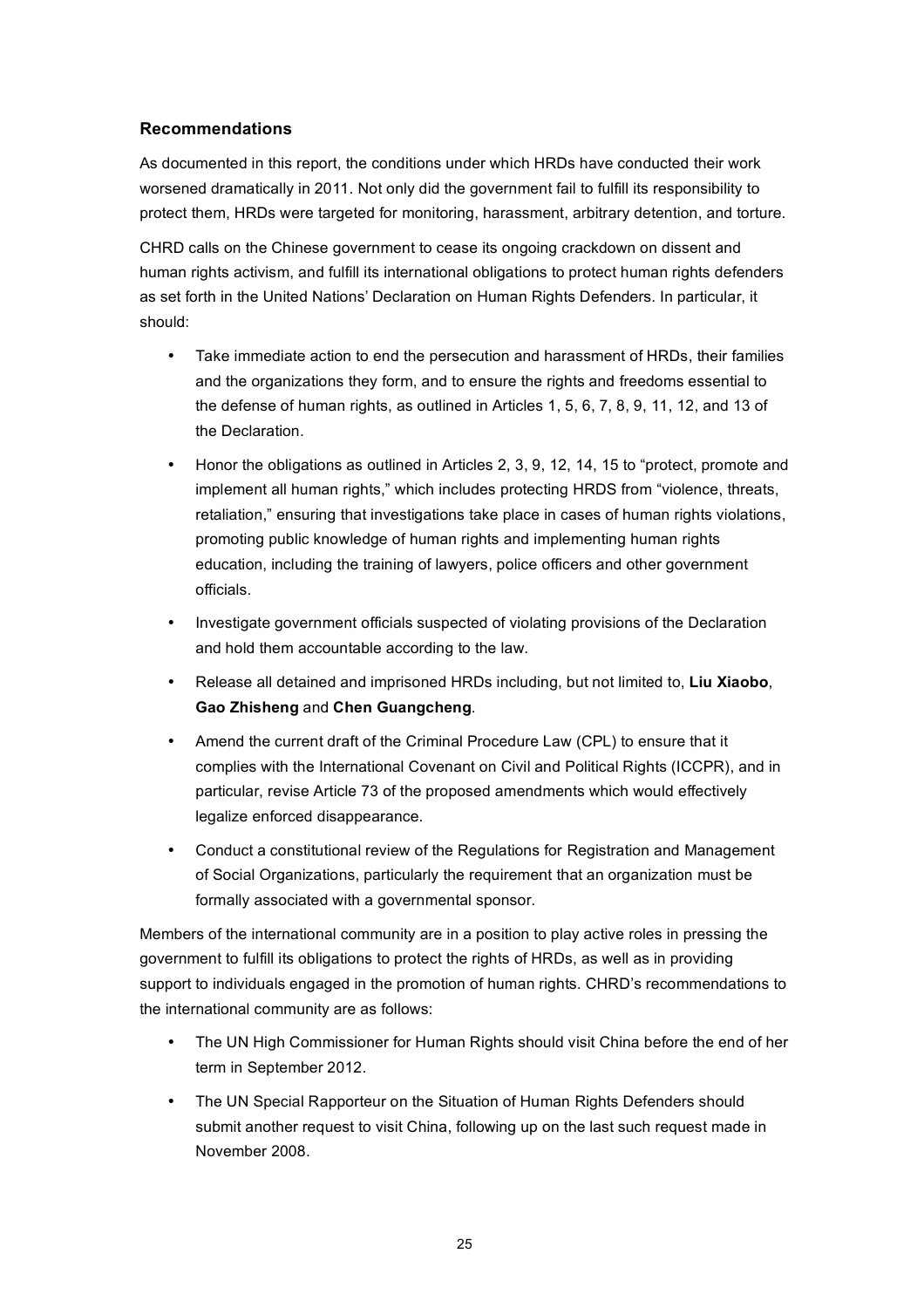# **Recommendations**

As documented in this report, the conditions under which HRDs have conducted their work worsened dramatically in 2011. Not only did the government fail to fulfill its responsibility to protect them, HRDs were targeted for monitoring, harassment, arbitrary detention, and torture.

CHRD calls on the Chinese government to cease its ongoing crackdown on dissent and human rights activism, and fulfill its international obligations to protect human rights defenders as set forth in the United Nations' Declaration on Human Rights Defenders. In particular, it should:

- Take immediate action to end the persecution and harassment of HRDs, their families and the organizations they form, and to ensure the rights and freedoms essential to the defense of human rights, as outlined in Articles 1, 5, 6, 7, 8, 9, 11, 12, and 13 of the Declaration.
- Honor the obligations as outlined in Articles 2, 3, 9, 12, 14, 15 to "protect, promote and implement all human rights," which includes protecting HRDS from "violence, threats, retaliation," ensuring that investigations take place in cases of human rights violations, promoting public knowledge of human rights and implementing human rights education, including the training of lawyers, police officers and other government officials.
- Investigate government officials suspected of violating provisions of the Declaration and hold them accountable according to the law.
- Release all detained and imprisoned HRDs including, but not limited to, **Liu Xiaobo**, **Gao Zhisheng** and **Chen Guangcheng**.
- Amend the current draft of the Criminal Procedure Law (CPL) to ensure that it complies with the International Covenant on Civil and Political Rights (ICCPR), and in particular, revise Article 73 of the proposed amendments which would effectively legalize enforced disappearance.
- Conduct a constitutional review of the Regulations for Registration and Management of Social Organizations, particularly the requirement that an organization must be formally associated with a governmental sponsor.

Members of the international community are in a position to play active roles in pressing the government to fulfill its obligations to protect the rights of HRDs, as well as in providing support to individuals engaged in the promotion of human rights. CHRD's recommendations to the international community are as follows:

- The UN High Commissioner for Human Rights should visit China before the end of her term in September 2012.
- The UN Special Rapporteur on the Situation of Human Rights Defenders should submit another request to visit China, following up on the last such request made in November 2008.